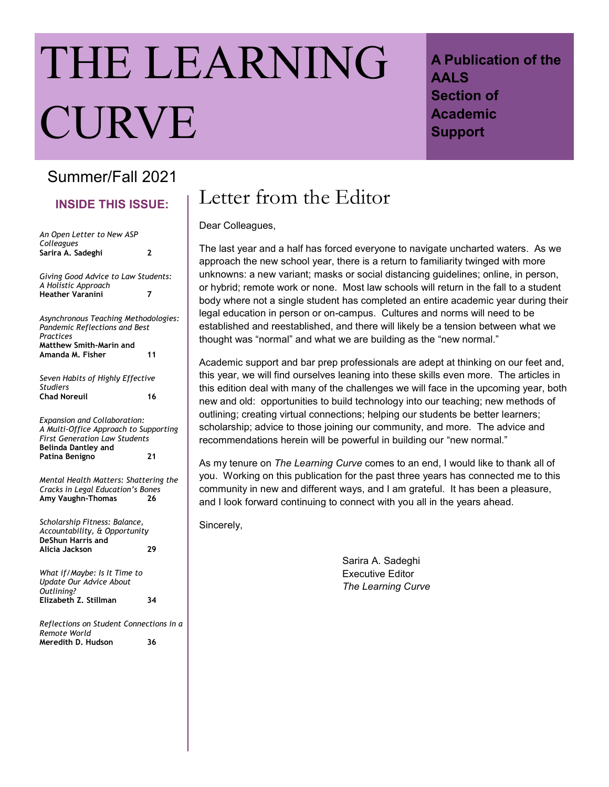# THE LEARNING CURVE

## **A Publication of the AALS Section of Academic Support**

## Summer/Fall 2021

**INSIDE THIS ISSUE:**

| An Open Letter to New ASP                                                                                                                                            |    |
|----------------------------------------------------------------------------------------------------------------------------------------------------------------------|----|
| Colleagues<br>Sarira A. Sadeghi                                                                                                                                      | 2  |
|                                                                                                                                                                      |    |
| Giving Good Advice to Law Students:<br>A Holistic Approach                                                                                                           |    |
| <b>Heather Varanini</b>                                                                                                                                              | 7  |
| Asynchronous Teaching Methodologies:<br>Pandemic Reflections and Best<br>Practices                                                                                   |    |
| <b>Matthew Smith-Marin and</b>                                                                                                                                       |    |
| Amanda M. Fisher                                                                                                                                                     | 11 |
| Seven Habits of Highly Effective<br><b>Studiers</b>                                                                                                                  |    |
| <b>Chad Noreuil</b>                                                                                                                                                  | 16 |
| <b>Expansion and Collaboration:</b><br>A Multi-Office Approach to Supporting<br><b>First Generation Law Students</b><br><b>Belinda Dantley and</b><br>Patina Benigno | 21 |
|                                                                                                                                                                      |    |
| Mental Health Matters: Shattering the<br>Cracks in Legal Education's Bones<br>Amy Vaughn-Thomas                                                                      | 26 |
| Scholarship Fitness: Balance,<br>Accountability, & Opportunity<br><b>DeShun Harris and</b>                                                                           |    |
| Alicia Jackson                                                                                                                                                       | 29 |
| What if/Maybe: Is It Time to<br>Update Our Advice About<br>Outlining?                                                                                                |    |
| Elizabeth Z. Stillman                                                                                                                                                | 34 |
| Reflections on Student Connections in a<br>Remote World                                                                                                              |    |
| Meredith D. Hudson                                                                                                                                                   | 36 |
|                                                                                                                                                                      |    |

# Letter from the Editor

Dear Colleagues,

The last year and a half has forced everyone to navigate uncharted waters. As we approach the new school year, there is a return to familiarity twinged with more unknowns: a new variant; masks or social distancing guidelines; online, in person, or hybrid; remote work or none. Most law schools will return in the fall to a student body where not a single student has completed an entire academic year during their legal education in person or on-campus. Cultures and norms will need to be established and reestablished, and there will likely be a tension between what we thought was "normal" and what we are building as the "new normal."

Academic support and bar prep professionals are adept at thinking on our feet and, this year, we will find ourselves leaning into these skills even more. The articles in this edition deal with many of the challenges we will face in the upcoming year, both new and old: opportunities to build technology into our teaching; new methods of outlining; creating virtual connections; helping our students be better learners; scholarship; advice to those joining our community, and more. The advice and recommendations herein will be powerful in building our "new normal."

As my tenure on *The Learning Curve* comes to an end, I would like to thank all of you. Working on this publication for the past three years has connected me to this community in new and different ways, and I am grateful. It has been a pleasure, and I look forward continuing to connect with you all in the years ahead.

Sincerely,

Sarira A. Sadeghi Executive Editor *The Learning Curve*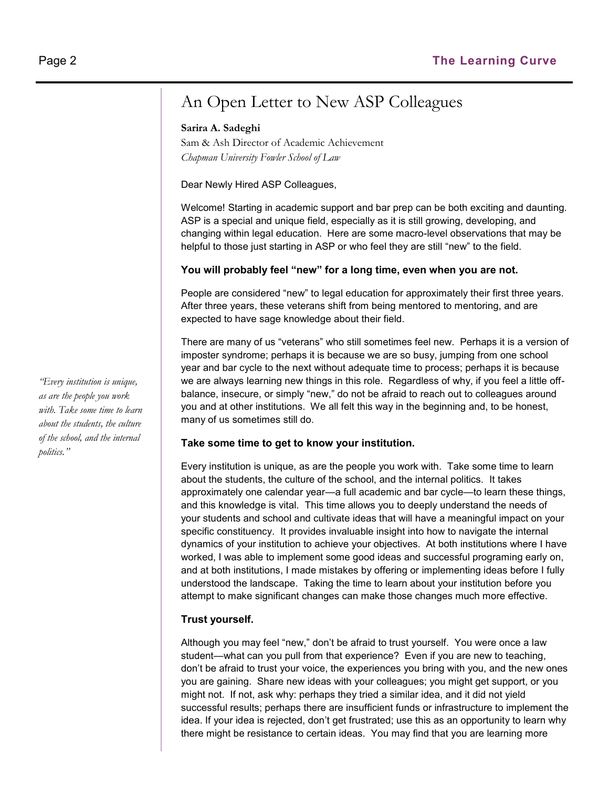## An Open Letter to New ASP Colleagues

#### **Sarira A. Sadeghi**

Sam & Ash Director of Academic Achievement *Chapman University Fowler School of Law*

Dear Newly Hired ASP Colleagues,

Welcome! Starting in academic support and bar prep can be both exciting and daunting. ASP is a special and unique field, especially as it is still growing, developing, and changing within legal education. Here are some macro-level observations that may be helpful to those just starting in ASP or who feel they are still "new" to the field.

#### **You will probably feel "new" for a long time, even when you are not.**

People are considered "new" to legal education for approximately their first three years. After three years, these veterans shift from being mentored to mentoring, and are expected to have sage knowledge about their field.

There are many of us "veterans" who still sometimes feel new. Perhaps it is a version of imposter syndrome; perhaps it is because we are so busy, jumping from one school year and bar cycle to the next without adequate time to process; perhaps it is because we are always learning new things in this role. Regardless of why, if you feel a little offbalance, insecure, or simply "new," do not be afraid to reach out to colleagues around you and at other institutions. We all felt this way in the beginning and, to be honest, many of us sometimes still do.

#### **Take some time to get to know your institution.**

Every institution is unique, as are the people you work with. Take some time to learn about the students, the culture of the school, and the internal politics. It takes approximately one calendar year—a full academic and bar cycle—to learn these things, and this knowledge is vital. This time allows you to deeply understand the needs of your students and school and cultivate ideas that will have a meaningful impact on your specific constituency. It provides invaluable insight into how to navigate the internal dynamics of your institution to achieve your objectives. At both institutions where I have worked, I was able to implement some good ideas and successful programing early on, and at both institutions, I made mistakes by offering or implementing ideas before I fully understood the landscape. Taking the time to learn about your institution before you attempt to make significant changes can make those changes much more effective.

#### **Trust yourself.**

Although you may feel "new," don't be afraid to trust yourself. You were once a law student—what can you pull from that experience? Even if you are new to teaching, don't be afraid to trust your voice, the experiences you bring with you, and the new ones you are gaining. Share new ideas with your colleagues; you might get support, or you might not. If not, ask why: perhaps they tried a similar idea, and it did not yield successful results; perhaps there are insufficient funds or infrastructure to implement the idea. If your idea is rejected, don't get frustrated; use this as an opportunity to learn why there might be resistance to certain ideas. You may find that you are learning more

*"Every institution is unique, as are the people you work with. Take some time to learn about the students, the culture of the school, and the internal politics."*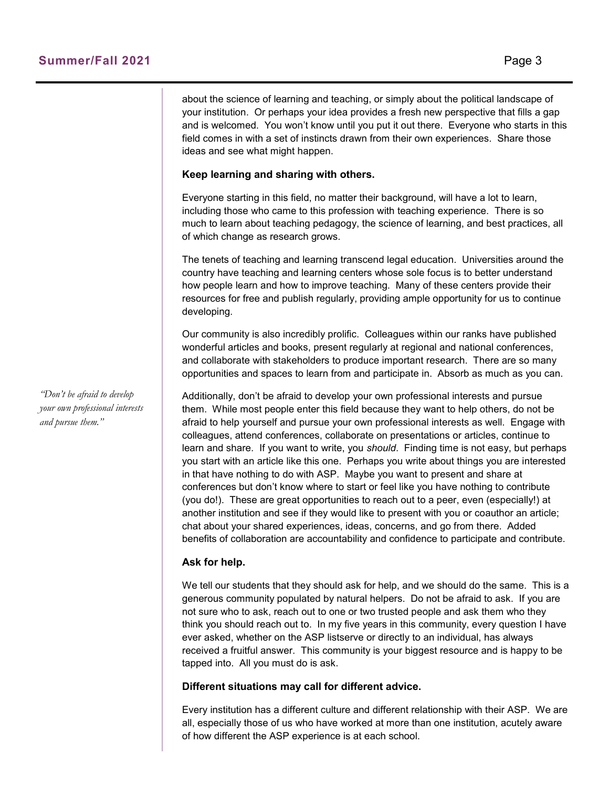about the science of learning and teaching, or simply about the political landscape of your institution. Or perhaps your idea provides a fresh new perspective that fills a gap and is welcomed. You won't know until you put it out there. Everyone who starts in this field comes in with a set of instincts drawn from their own experiences. Share those ideas and see what might happen.

#### **Keep learning and sharing with others.**

Everyone starting in this field, no matter their background, will have a lot to learn, including those who came to this profession with teaching experience. There is so much to learn about teaching pedagogy, the science of learning, and best practices, all of which change as research grows.

The tenets of teaching and learning transcend legal education. Universities around the country have teaching and learning centers whose sole focus is to better understand how people learn and how to improve teaching. Many of these centers provide their resources for free and publish regularly, providing ample opportunity for us to continue developing.

Our community is also incredibly prolific. Colleagues within our ranks have published wonderful articles and books, present regularly at regional and national conferences, and collaborate with stakeholders to produce important research. There are so many opportunities and spaces to learn from and participate in. Absorb as much as you can.

Additionally, don't be afraid to develop your own professional interests and pursue them. While most people enter this field because they want to help others, do not be afraid to help yourself and pursue your own professional interests as well. Engage with colleagues, attend conferences, collaborate on presentations or articles, continue to learn and share. If you want to write, you *should*. Finding time is not easy, but perhaps you start with an article like this one. Perhaps you write about things you are interested in that have nothing to do with ASP. Maybe you want to present and share at conferences but don't know where to start or feel like you have nothing to contribute (you do!). These are great opportunities to reach out to a peer, even (especially!) at another institution and see if they would like to present with you or coauthor an article; chat about your shared experiences, ideas, concerns, and go from there. Added benefits of collaboration are accountability and confidence to participate and contribute.

#### **Ask for help.**

We tell our students that they should ask for help, and we should do the same. This is a generous community populated by natural helpers. Do not be afraid to ask. If you are not sure who to ask, reach out to one or two trusted people and ask them who they think you should reach out to. In my five years in this community, every question I have ever asked, whether on the ASP listserve or directly to an individual, has always received a fruitful answer. This community is your biggest resource and is happy to be tapped into. All you must do is ask.

#### **Different situations may call for different advice.**

Every institution has a different culture and different relationship with their ASP. We are all, especially those of us who have worked at more than one institution, acutely aware of how different the ASP experience is at each school.

*"Don't be afraid to develop your own professional interests and pursue them."*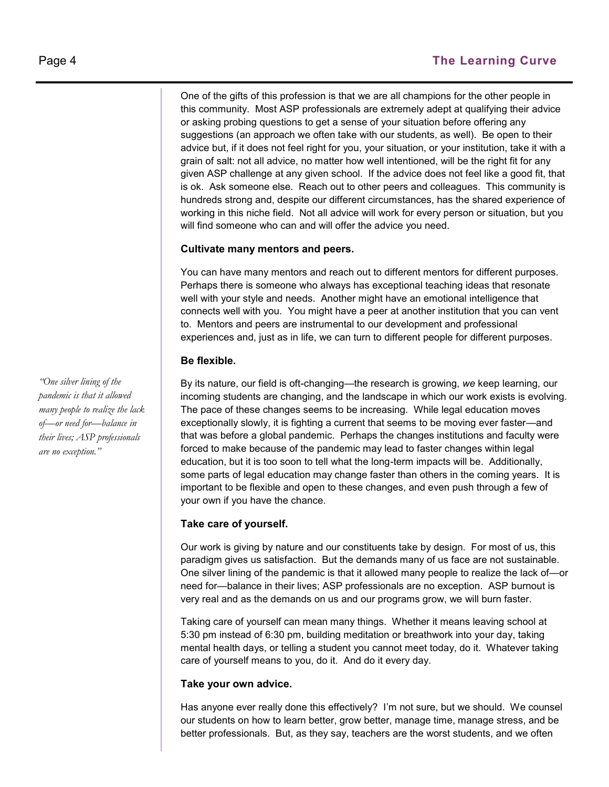One of the gifts of this profession is that we are all champions for the other people in this community. Most ASP professionals are extremely adept at qualifying their advice or asking probing questions to get a sense of your situation before offering any suggestions (an approach we often take with our students, as well). Be open to their advice but, if it does not feel right for you, your situation, or your institution, take it with a grain of salt: not all advice, no matter how well intentioned, will be the right fit for any given ASP challenge at any given school. If the advice does not feel like a good fit, that is ok. Ask someone else. Reach out to other peers and colleagues. This community is hundreds strong and, despite our different circumstances, has the shared experience of working in this niche field. Not all advice will work for every person or situation, but you will find someone who can and will offer the advice you need.

#### **Cultivate many mentors and peers.**

You can have many mentors and reach out to different mentors for different purposes. Perhaps there is someone who always has exceptional teaching ideas that resonate well with your style and needs. Another might have an emotional intelligence that connects well with you. You might have a peer at another institution that you can vent to. Mentors and peers are instrumental to our development and professional experiences and, just as in life, we can turn to different people for different purposes.

#### **Be flexible.**

By its nature, our field is oft-changing—the research is growing, *we* keep learning, our incoming students are changing, and the landscape in which our work exists is evolving. The pace of these changes seems to be increasing. While legal education moves exceptionally slowly, it is fighting a current that seems to be moving ever faster—and that was before a global pandemic. Perhaps the changes institutions and faculty were forced to make because of the pandemic may lead to faster changes within legal education, but it is too soon to tell what the long-term impacts will be. Additionally, some parts of legal education may change faster than others in the coming years. It is important to be flexible and open to these changes, and even push through a few of your own if you have the chance.

#### **Take care of yourself.**

Our work is giving by nature and our constituents take by design. For most of us, this paradigm gives us satisfaction. But the demands many of us face are not sustainable. One silver lining of the pandemic is that it allowed many people to realize the lack of—or need for—balance in their lives; ASP professionals are no exception. ASP burnout is very real and as the demands on us and our programs grow, we will burn faster.

Taking care of yourself can mean many things. Whether it means leaving school at 5:30 pm instead of 6:30 pm, building meditation or breathwork into your day, taking mental health days, or telling a student you cannot meet today, do it. Whatever taking care of yourself means to you, do it. And do it every day.

#### **Take your own advice.**

Has anyone ever really done this effectively? I'm not sure, but we should. We counsel our students on how to learn better, grow better, manage time, manage stress, and be better professionals. But, as they say, teachers are the worst students, and we often

*"One silver lining of the pandemic is that it allowed many people to realize the lack of—or need for—balance in their lives; ASP professionals are no exception."*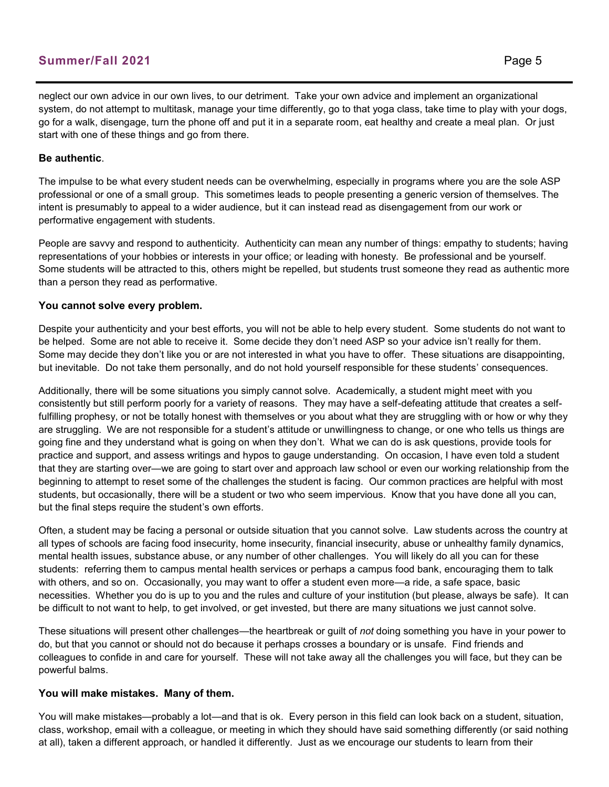#### **Summer/Fall 2021** Page 5

neglect our own advice in our own lives, to our detriment. Take your own advice and implement an organizational system, do not attempt to multitask, manage your time differently, go to that yoga class, take time to play with your dogs, go for a walk, disengage, turn the phone off and put it in a separate room, eat healthy and create a meal plan. Or just start with one of these things and go from there.

#### **Be authentic**.

The impulse to be what every student needs can be overwhelming, especially in programs where you are the sole ASP professional or one of a small group. This sometimes leads to people presenting a generic version of themselves. The intent is presumably to appeal to a wider audience, but it can instead read as disengagement from our work or performative engagement with students.

People are savvy and respond to authenticity. Authenticity can mean any number of things: empathy to students; having representations of your hobbies or interests in your office; or leading with honesty. Be professional and be yourself. Some students will be attracted to this, others might be repelled, but students trust someone they read as authentic more than a person they read as performative.

#### **You cannot solve every problem.**

Despite your authenticity and your best efforts, you will not be able to help every student. Some students do not want to be helped. Some are not able to receive it. Some decide they don't need ASP so your advice isn't really for them. Some may decide they don't like you or are not interested in what you have to offer. These situations are disappointing, but inevitable. Do not take them personally, and do not hold yourself responsible for these students' consequences.

Additionally, there will be some situations you simply cannot solve. Academically, a student might meet with you consistently but still perform poorly for a variety of reasons. They may have a self-defeating attitude that creates a selffulfilling prophesy, or not be totally honest with themselves or you about what they are struggling with or how or why they are struggling. We are not responsible for a student's attitude or unwillingness to change, or one who tells us things are going fine and they understand what is going on when they don't. What we can do is ask questions, provide tools for practice and support, and assess writings and hypos to gauge understanding. On occasion, I have even told a student that they are starting over—we are going to start over and approach law school or even our working relationship from the beginning to attempt to reset some of the challenges the student is facing. Our common practices are helpful with most students, but occasionally, there will be a student or two who seem impervious. Know that you have done all you can, but the final steps require the student's own efforts.

Often, a student may be facing a personal or outside situation that you cannot solve. Law students across the country at all types of schools are facing food insecurity, home insecurity, financial insecurity, abuse or unhealthy family dynamics, mental health issues, substance abuse, or any number of other challenges. You will likely do all you can for these students: referring them to campus mental health services or perhaps a campus food bank, encouraging them to talk with others, and so on. Occasionally, you may want to offer a student even more—a ride, a safe space, basic necessities. Whether you do is up to you and the rules and culture of your institution (but please, always be safe). It can be difficult to not want to help, to get involved, or get invested, but there are many situations we just cannot solve.

These situations will present other challenges—the heartbreak or guilt of *not* doing something you have in your power to do, but that you cannot or should not do because it perhaps crosses a boundary or is unsafe. Find friends and colleagues to confide in and care for yourself. These will not take away all the challenges you will face, but they can be powerful balms.

#### **You will make mistakes. Many of them.**

You will make mistakes—probably a lot—and that is ok. Every person in this field can look back on a student, situation, class, workshop, email with a colleague, or meeting in which they should have said something differently (or said nothing at all), taken a different approach, or handled it differently. Just as we encourage our students to learn from their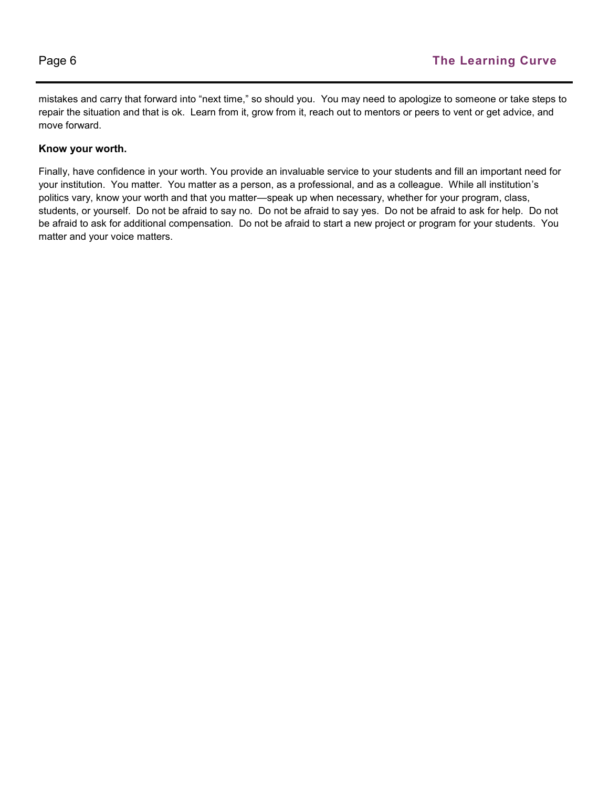mistakes and carry that forward into "next time," so should you. You may need to apologize to someone or take steps to repair the situation and that is ok. Learn from it, grow from it, reach out to mentors or peers to vent or get advice, and move forward.

#### **Know your worth.**

Finally, have confidence in your worth. You provide an invaluable service to your students and fill an important need for your institution. You matter. You matter as a person, as a professional, and as a colleague. While all institution's politics vary, know your worth and that you matter—speak up when necessary, whether for your program, class, students, or yourself. Do not be afraid to say no. Do not be afraid to say yes. Do not be afraid to ask for help. Do not be afraid to ask for additional compensation. Do not be afraid to start a new project or program for your students. You matter and your voice matters.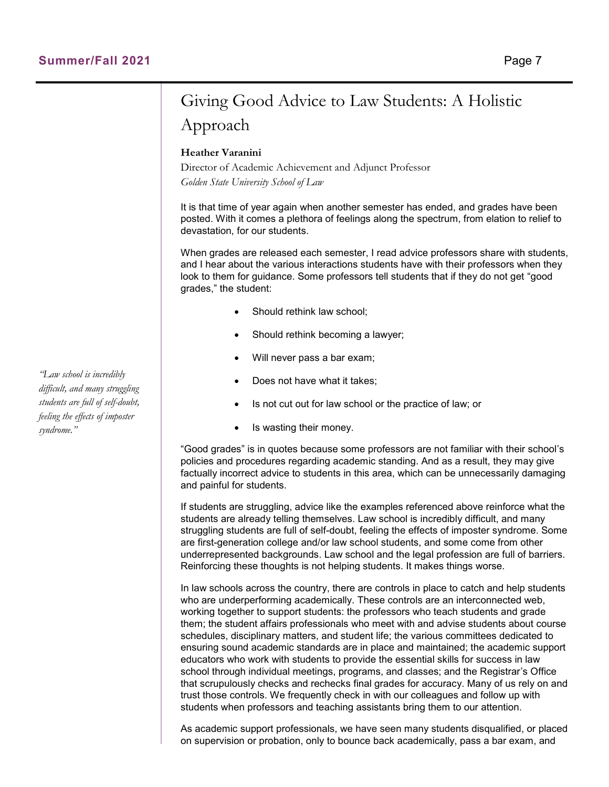## Giving Good Advice to Law Students: A Holistic Approach

#### **Heather Varanini**

Director of Academic Achievement and Adjunct Professor *Golden State University School of Law*

It is that time of year again when another semester has ended, and grades have been posted. With it comes a plethora of feelings along the spectrum, from elation to relief to devastation, for our students.

When grades are released each semester, I read advice professors share with students, and I hear about the various interactions students have with their professors when they look to them for guidance. Some professors tell students that if they do not get "good grades," the student:

- Should rethink law school;
- Should rethink becoming a lawyer;
- Will never pass a bar exam;
- Does not have what it takes:
- Is not cut out for law school or the practice of law; or
- Is wasting their money.

"Good grades" is in quotes because some professors are not familiar with their school's policies and procedures regarding academic standing. And as a result, they may give factually incorrect advice to students in this area, which can be unnecessarily damaging and painful for students.

If students are struggling, advice like the examples referenced above reinforce what the students are already telling themselves. Law school is incredibly difficult, and many struggling students are full of self-doubt, feeling the effects of imposter syndrome. Some are first-generation college and/or law school students, and some come from other underrepresented backgrounds. Law school and the legal profession are full of barriers. Reinforcing these thoughts is not helping students. It makes things worse.

In law schools across the country, there are controls in place to catch and help students who are underperforming academically. These controls are an interconnected web, working together to support students: the professors who teach students and grade them; the student affairs professionals who meet with and advise students about course schedules, disciplinary matters, and student life; the various committees dedicated to ensuring sound academic standards are in place and maintained; the academic support educators who work with students to provide the essential skills for success in law school through individual meetings, programs, and classes; and the Registrar's Office that scrupulously checks and rechecks final grades for accuracy. Many of us rely on and trust those controls. We frequently check in with our colleagues and follow up with students when professors and teaching assistants bring them to our attention.

As academic support professionals, we have seen many students disqualified, or placed on supervision or probation, only to bounce back academically, pass a bar exam, and

*"Law school is incredibly difficult, and many struggling students are full of self-doubt, feeling the effects of imposter syndrome."*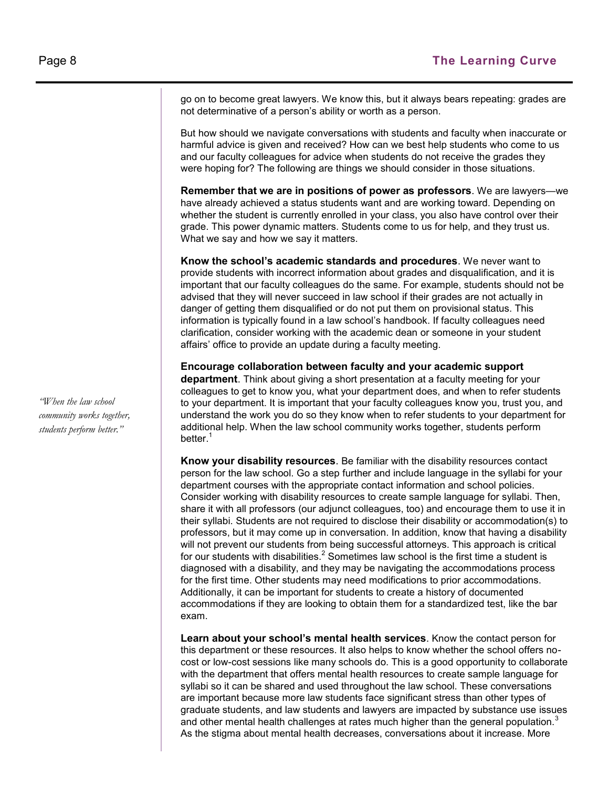go on to become great lawyers. We know this, but it always bears repeating: grades are not determinative of a person's ability or worth as a person.

But how should we navigate conversations with students and faculty when inaccurate or harmful advice is given and received? How can we best help students who come to us and our faculty colleagues for advice when students do not receive the grades they were hoping for? The following are things we should consider in those situations.

**Remember that we are in positions of power as professors**. We are lawyers—we have already achieved a status students want and are working toward. Depending on whether the student is currently enrolled in your class, you also have control over their grade. This power dynamic matters. Students come to us for help, and they trust us. What we say and how we say it matters.

**Know the school's academic standards and procedures**. We never want to provide students with incorrect information about grades and disqualification, and it is important that our faculty colleagues do the same. For example, students should not be advised that they will never succeed in law school if their grades are not actually in danger of getting them disqualified or do not put them on provisional status. This information is typically found in a law school's handbook. If faculty colleagues need clarification, consider working with the academic dean or someone in your student affairs' office to provide an update during a faculty meeting.

**Encourage collaboration between faculty and your academic support department**. Think about giving a short presentation at a faculty meeting for your colleagues to get to know you, what your department does, and when to refer students to your department. It is important that your faculty colleagues know you, trust you, and understand the work you do so they know when to refer students to your department for additional help. When the law school community works together, students perform better.<sup>1</sup>

**Know your disability resources**. Be familiar with the disability resources contact person for the law school. Go a step further and include language in the syllabi for your department courses with the appropriate contact information and school policies. Consider working with disability resources to create sample language for syllabi. Then, share it with all professors (our adjunct colleagues, too) and encourage them to use it in their syllabi. Students are not required to disclose their disability or accommodation(s) to professors, but it may come up in conversation. In addition, know that having a disability will not prevent our students from being successful attorneys. This approach is critical for our students with disabilities. $<sup>2</sup>$  Sometimes law school is the first time a student is</sup> diagnosed with a disability, and they may be navigating the accommodations process for the first time. Other students may need modifications to prior accommodations. Additionally, it can be important for students to create a history of documented accommodations if they are looking to obtain them for a standardized test, like the bar exam.

**Learn about your school's mental health services**. Know the contact person for this department or these resources. It also helps to know whether the school offers nocost or low-cost sessions like many schools do. This is a good opportunity to collaborate with the department that offers mental health resources to create sample language for syllabi so it can be shared and used throughout the law school. These conversations are important because more law students face significant stress than other types of graduate students, and law students and lawyers are impacted by substance use issues and other mental health challenges at rates much higher than the general population. $3$ As the stigma about mental health decreases, conversations about it increase. More

*"When the law school community works together, students perform better."*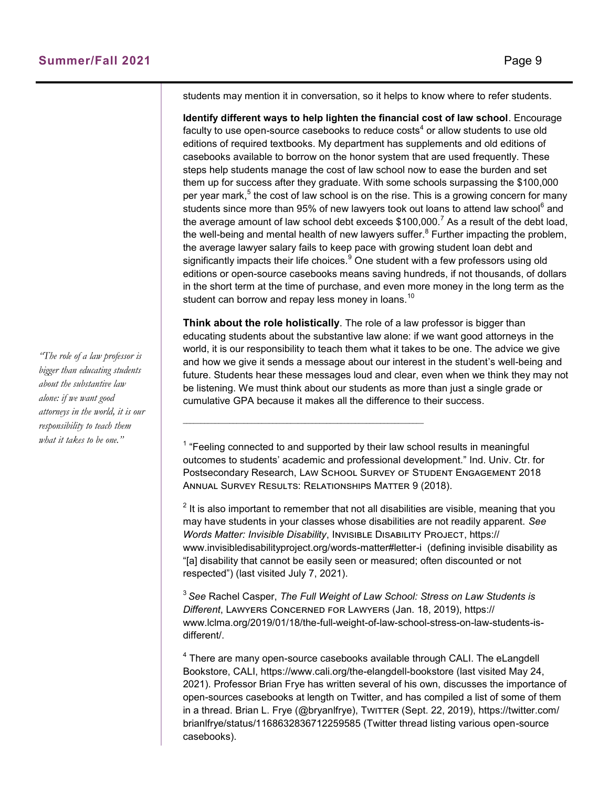students may mention it in conversation, so it helps to know where to refer students.

**Identify different ways to help lighten the financial cost of law school**. Encourage faculty to use open-source casebooks to reduce costs $^4$  or allow students to use old editions of required textbooks. My department has supplements and old editions of casebooks available to borrow on the honor system that are used frequently. These steps help students manage the cost of law school now to ease the burden and set them up for success after they graduate. With some schools surpassing the \$100,000 per year mark, $^5$  the cost of law school is on the rise. This is a growing concern for many students since more than 95% of new lawyers took out loans to attend law school<sup>6</sup> and the average amount of law school debt exceeds  $$100,000$ .<sup>7</sup> As a result of the debt load, the well-being and mental health of new lawyers suffer. $^8$  Further impacting the problem, the average lawyer salary fails to keep pace with growing student loan debt and significantly impacts their life choices. $9$  One student with a few professors using old editions or open-source casebooks means saving hundreds, if not thousands, of dollars in the short term at the time of purchase, and even more money in the long term as the student can borrow and repay less money in loans.<sup>10</sup>

**Think about the role holistically**. The role of a law professor is bigger than educating students about the substantive law alone: if we want good attorneys in the world, it is our responsibility to teach them what it takes to be one. The advice we give and how we give it sends a message about our interest in the student's well-being and future. Students hear these messages loud and clear, even when we think they may not be listening. We must think about our students as more than just a single grade or cumulative GPA because it makes all the difference to their success.

 $1$  "Feeling connected to and supported by their law school results in meaningful outcomes to students' academic and professional development." Ind. Univ. Ctr. for Postsecondary Research, Law School Survey of Student Engagement 2018 Annual Survey Results: Relationships Matter 9 (2018).

 $\mathcal{L}_\text{max}$ 

 $^2$  It is also important to remember that not all disabilities are visible, meaning that you may have students in your classes whose disabilities are not readily apparent. *See Words Matter: Invisible Disability*, Invisible Disability Project, https:// www.invisibledisabilityproject.org/words-matter#letter-i (defining invisible disability as "[a] disability that cannot be easily seen or measured; often discounted or not respected") (last visited July 7, 2021).

<sup>3</sup>*See* Rachel Casper, *The Full Weight of Law School: Stress on Law Students is Different*, Lawyers Concerned for Lawyers (Jan. 18, 2019), https:// www.lclma.org/2019/01/18/the-full-weight-of-law-school-stress-on-law-students-isdifferent/.

 $^4$  There are many open-source casebooks available through CALI. The eLangdell Bookstore, CALI, https://www.cali.org/the-elangdell-bookstore (last visited May 24, 2021). Professor Brian Frye has written several of his own, discusses the importance of open-sources casebooks at length on Twitter, and has compiled a list of some of them in a thread. Brian L. Frye (@bryanlfrye), TwiTTER (Sept. 22, 2019), https://twitter.com/ brianlfrye/status/1168632836712259585 (Twitter thread listing various open-source casebooks).

*"The role of a law professor is bigger than educating students about the substantive law alone: if we want good attorneys in the world, it is our responsibility to teach them what it takes to be one."*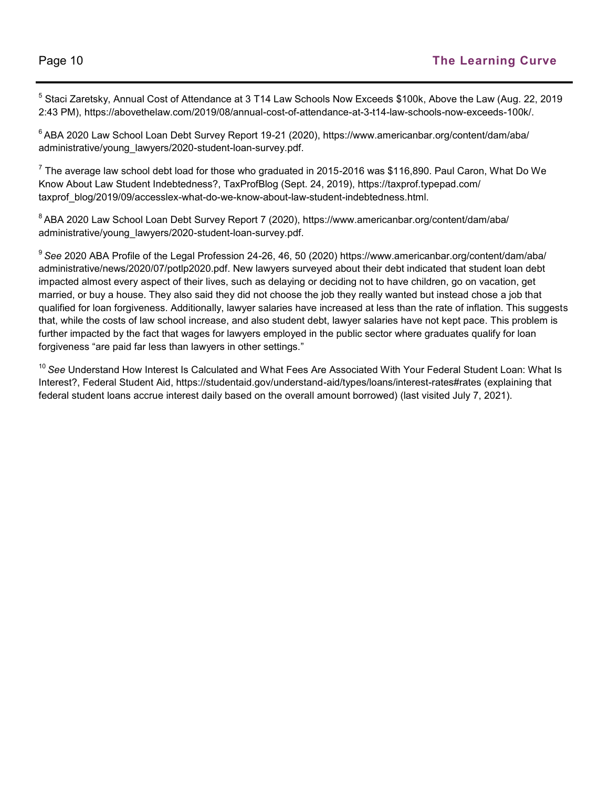$^5$  Staci Zaretsky, Annual Cost of Attendance at 3 T14 Law Schools Now Exceeds \$100k, Above the Law (Aug. 22, 2019 2:43 PM), https://abovethelaw.com/2019/08/annual-cost-of-attendance-at-3-t14-law-schools-now-exceeds-100k/.

 $6$ ABA 2020 Law School Loan Debt Survey Report 19-21 (2020), https://www.americanbar.org/content/dam/aba/ administrative/young\_lawyers/2020-student-loan-survey.pdf.

 $^7$  The average law school debt load for those who graduated in 2015-2016 was \$116,890. Paul Caron, What Do We Know About Law Student Indebtedness?, TaxProfBlog (Sept. 24, 2019), https://taxprof.typepad.com/ taxprof\_blog/2019/09/accesslex-what-do-we-know-about-law-student-indebtedness.html.

<sup>8</sup> ABA 2020 Law School Loan Debt Survey Report 7 (2020), https://www.americanbar.org/content/dam/aba/ administrative/young\_lawyers/2020-student-loan-survey.pdf.

<sup>9</sup>*See* 2020 ABA Profile of the Legal Profession 24-26, 46, 50 (2020) https://www.americanbar.org/content/dam/aba/ administrative/news/2020/07/potlp2020.pdf. New lawyers surveyed about their debt indicated that student loan debt impacted almost every aspect of their lives, such as delaying or deciding not to have children, go on vacation, get married, or buy a house. They also said they did not choose the job they really wanted but instead chose a job that qualified for loan forgiveness. Additionally, lawyer salaries have increased at less than the rate of inflation. This suggests that, while the costs of law school increase, and also student debt, lawyer salaries have not kept pace. This problem is further impacted by the fact that wages for lawyers employed in the public sector where graduates qualify for loan forgiveness "are paid far less than lawyers in other settings."

<sup>10</sup>*See* Understand How Interest Is Calculated and What Fees Are Associated With Your Federal Student Loan: What Is Interest?, Federal Student Aid, https://studentaid.gov/understand-aid/types/loans/interest-rates#rates (explaining that federal student loans accrue interest daily based on the overall amount borrowed) (last visited July 7, 2021).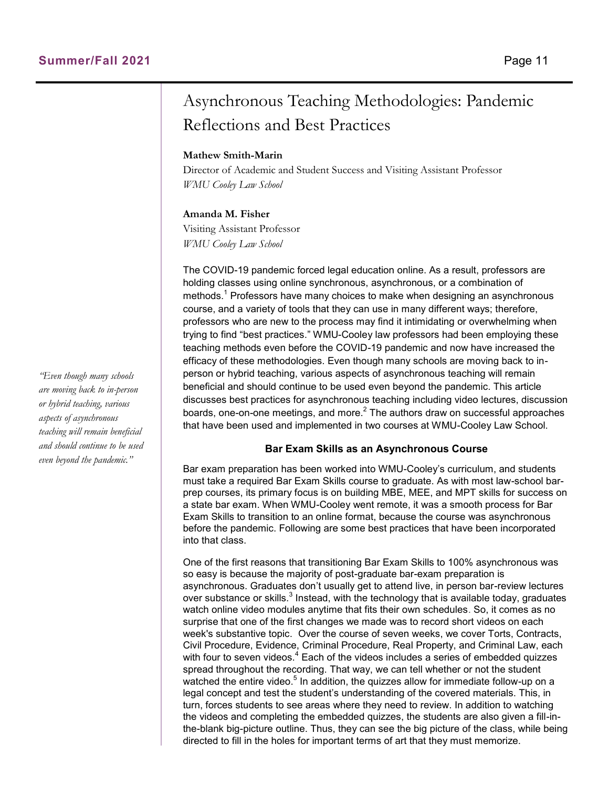## Asynchronous Teaching Methodologies: Pandemic Reflections and Best Practices

#### **Mathew Smith-Marin**

Director of Academic and Student Success and Visiting Assistant Professor *WMU Cooley Law School*

#### **Amanda M. Fisher**

Visiting Assistant Professor *WMU Cooley Law School*

The COVID-19 pandemic forced legal education online. As a result, professors are holding classes using online synchronous, asynchronous, or a combination of methods.<sup>1</sup> Professors have many choices to make when designing an asynchronous course, and a variety of tools that they can use in many different ways; therefore, professors who are new to the process may find it intimidating or overwhelming when trying to find "best practices." WMU-Cooley law professors had been employing these teaching methods even before the COVID-19 pandemic and now have increased the efficacy of these methodologies. Even though many schools are moving back to inperson or hybrid teaching, various aspects of asynchronous teaching will remain beneficial and should continue to be used even beyond the pandemic. This article discusses best practices for asynchronous teaching including video lectures, discussion boards, one-on-one meetings, and more. $^2$  The authors draw on successful approaches that have been used and implemented in two courses at WMU-Cooley Law School.

#### **Bar Exam Skills as an Asynchronous Course**

Bar exam preparation has been worked into WMU-Cooley's curriculum, and students must take a required Bar Exam Skills course to graduate. As with most law-school barprep courses, its primary focus is on building MBE, MEE, and MPT skills for success on a state bar exam. When WMU-Cooley went remote, it was a smooth process for Bar Exam Skills to transition to an online format, because the course was asynchronous before the pandemic. Following are some best practices that have been incorporated into that class.

One of the first reasons that transitioning Bar Exam Skills to 100% asynchronous was so easy is because the majority of post-graduate bar-exam preparation is asynchronous. Graduates don't usually get to attend live, in person bar-review lectures over substance or skills. $^3$  Instead, with the technology that is available today, graduates watch online video modules anytime that fits their own schedules. So, it comes as no surprise that one of the first changes we made was to record short videos on each week's substantive topic. Over the course of seven weeks, we cover Torts, Contracts, Civil Procedure, Evidence, Criminal Procedure, Real Property, and Criminal Law, each with four to seven videos. $4$  Each of the videos includes a series of embedded quizzes spread throughout the recording. That way, we can tell whether or not the student watched the entire video.<sup>5</sup> In addition, the quizzes allow for immediate follow-up on a legal concept and test the student's understanding of the covered materials. This, in turn, forces students to see areas where they need to review. In addition to watching the videos and completing the embedded quizzes, the students are also given a fill-inthe-blank big-picture outline. Thus, they can see the big picture of the class, while being directed to fill in the holes for important terms of art that they must memorize.

*"Even though many schools are moving back to in-person or hybrid teaching, various aspects of asynchronous teaching will remain beneficial and should continue to be used even beyond the pandemic."*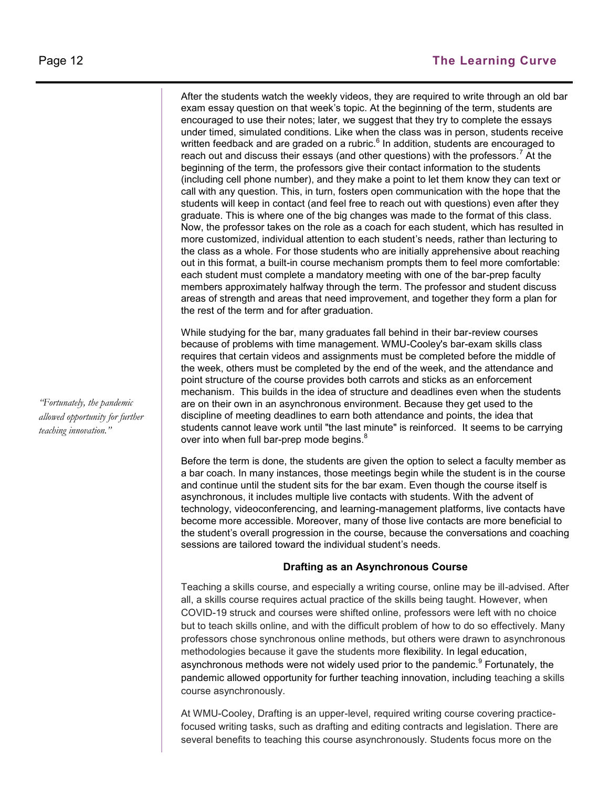After the students watch the weekly videos, they are required to write through an old bar exam essay question on that week's topic. At the beginning of the term, students are encouraged to use their notes; later, we suggest that they try to complete the essays under timed, simulated conditions. Like when the class was in person, students receive written feedback and are graded on a rubric. $^6$  In addition, students are encouraged to reach out and discuss their essays (and other questions) with the professors.<sup>7</sup> At the beginning of the term, the professors give their contact information to the students (including cell phone number), and they make a point to let them know they can text or call with any question. This, in turn, fosters open communication with the hope that the students will keep in contact (and feel free to reach out with questions) even after they graduate. This is where one of the big changes was made to the format of this class. Now, the professor takes on the role as a coach for each student, which has resulted in more customized, individual attention to each student's needs, rather than lecturing to the class as a whole. For those students who are initially apprehensive about reaching out in this format, a built-in course mechanism prompts them to feel more comfortable: each student must complete a mandatory meeting with one of the bar-prep faculty members approximately halfway through the term. The professor and student discuss areas of strength and areas that need improvement, and together they form a plan for the rest of the term and for after graduation.

While studying for the bar, many graduates fall behind in their bar-review courses because of problems with time management. WMU-Cooley's bar-exam skills class requires that certain videos and assignments must be completed before the middle of the week, others must be completed by the end of the week, and the attendance and point structure of the course provides both carrots and sticks as an enforcement mechanism. This builds in the idea of structure and deadlines even when the students are on their own in an asynchronous environment. Because they get used to the discipline of meeting deadlines to earn both attendance and points, the idea that students cannot leave work until "the last minute" is reinforced. It seems to be carrying over into when full bar-prep mode begins.<sup>8</sup>

Before the term is done, the students are given the option to select a faculty member as a bar coach. In many instances, those meetings begin while the student is in the course and continue until the student sits for the bar exam. Even though the course itself is asynchronous, it includes multiple live contacts with students. With the advent of technology, videoconferencing, and learning-management platforms, live contacts have become more accessible. Moreover, many of those live contacts are more beneficial to the student's overall progression in the course, because the conversations and coaching sessions are tailored toward the individual student's needs.

#### **Drafting as an Asynchronous Course**

Teaching a skills course, and especially a writing course, online may be ill-advised. After all, a skills course requires actual practice of the skills being taught. However, when COVID-19 struck and courses were shifted online, professors were left with no choice but to teach skills online, and with the difficult problem of how to do so effectively. Many professors chose synchronous online methods, but others were drawn to asynchronous methodologies because it gave the students more flexibility. In legal education, asynchronous methods were not widely used prior to the pandemic.<sup>9</sup> Fortunately, the pandemic allowed opportunity for further teaching innovation, including teaching a skills course asynchronously.

At WMU-Cooley, Drafting is an upper-level, required writing course covering practicefocused writing tasks, such as drafting and editing contracts and legislation. There are several benefits to teaching this course asynchronously. Students focus more on the

*"Fortunately, the pandemic allowed opportunity for further teaching innovation."*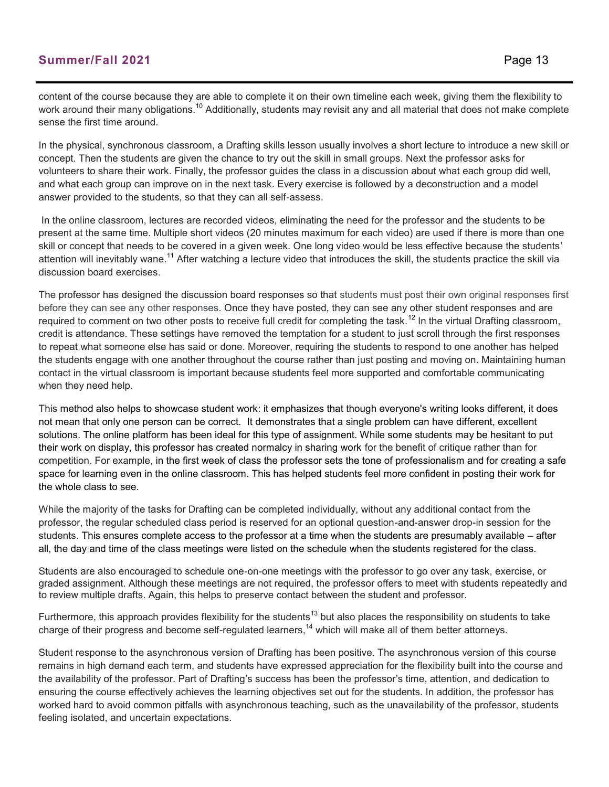#### **Summer/Fall 2021** Page 13

content of the course because they are able to complete it on their own timeline each week, giving them the flexibility to work around their many obligations.<sup>10</sup> Additionally, students may revisit any and all material that does not make complete sense the first time around.

In the physical, synchronous classroom, a Drafting skills lesson usually involves a short lecture to introduce a new skill or concept. Then the students are given the chance to try out the skill in small groups. Next the professor asks for volunteers to share their work. Finally, the professor guides the class in a discussion about what each group did well, and what each group can improve on in the next task. Every exercise is followed by a deconstruction and a model answer provided to the students, so that they can all self-assess.

In the online classroom, lectures are recorded videos, eliminating the need for the professor and the students to be present at the same time. Multiple short videos (20 minutes maximum for each video) are used if there is more than one skill or concept that needs to be covered in a given week. One long video would be less effective because the students' attention will inevitably wane.<sup>11</sup> After watching a lecture video that introduces the skill, the students practice the skill via discussion board exercises.

The professor has designed the discussion board responses so that students must post their own original responses first before they can see any other responses. Once they have posted, they can see any other student responses and are required to comment on two other posts to receive full credit for completing the task.<sup>12</sup> In the virtual Drafting classroom, credit is attendance. These settings have removed the temptation for a student to just scroll through the first responses to repeat what someone else has said or done. Moreover, requiring the students to respond to one another has helped the students engage with one another throughout the course rather than just posting and moving on. Maintaining human contact in the virtual classroom is important because students feel more supported and comfortable communicating when they need help.

This method also helps to showcase student work: it emphasizes that though everyone's writing looks different, it does not mean that only one person can be correct. It demonstrates that a single problem can have different, excellent solutions. The online platform has been ideal for this type of assignment. While some students may be hesitant to put their work on display, this professor has created normalcy in sharing work for the benefit of critique rather than for competition. For example, in the first week of class the professor sets the tone of professionalism and for creating a safe space for learning even in the online classroom. This has helped students feel more confident in posting their work for the whole class to see.

While the majority of the tasks for Drafting can be completed individually, without any additional contact from the professor, the regular scheduled class period is reserved for an optional question-and-answer drop-in session for the students. This ensures complete access to the professor at a time when the students are presumably available – after all, the day and time of the class meetings were listed on the schedule when the students registered for the class.

Students are also encouraged to schedule one-on-one meetings with the professor to go over any task, exercise, or graded assignment. Although these meetings are not required, the professor offers to meet with students repeatedly and to review multiple drafts. Again, this helps to preserve contact between the student and professor.

Furthermore, this approach provides flexibility for the students<sup>13</sup> but also places the responsibility on students to take charge of their progress and become self-regulated learners,<sup>14</sup> which will make all of them better attorneys.

Student response to the asynchronous version of Drafting has been positive. The asynchronous version of this course remains in high demand each term, and students have expressed appreciation for the flexibility built into the course and the availability of the professor. Part of Drafting's success has been the professor's time, attention, and dedication to ensuring the course effectively achieves the learning objectives set out for the students. In addition, the professor has worked hard to avoid common pitfalls with asynchronous teaching, such as the unavailability of the professor, students feeling isolated, and uncertain expectations.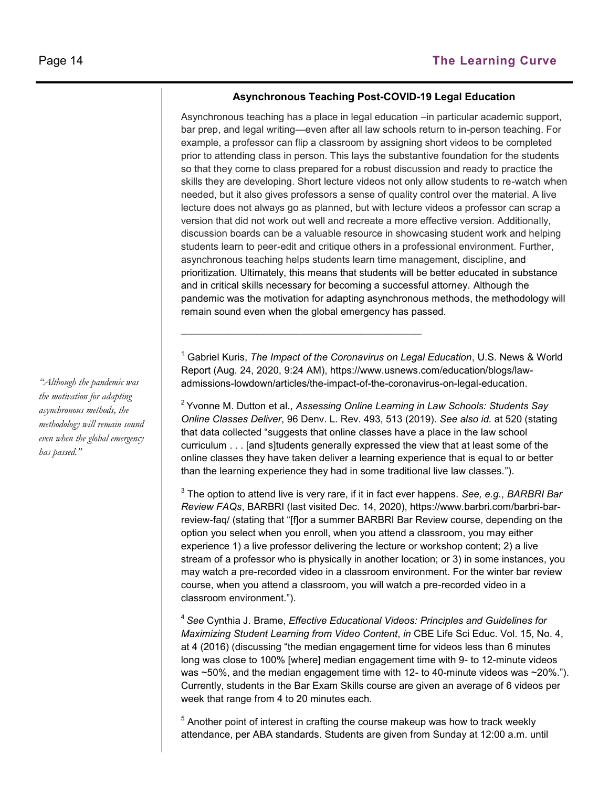#### **Asynchronous Teaching Post-COVID-19 Legal Education**

Asynchronous teaching has a place in legal education –in particular academic support, bar prep, and legal writing—even after all law schools return to in-person teaching. For example, a professor can flip a classroom by assigning short videos to be completed prior to attending class in person. This lays the substantive foundation for the students so that they come to class prepared for a robust discussion and ready to practice the skills they are developing. Short lecture videos not only allow students to re-watch when needed, but it also gives professors a sense of quality control over the material. A live lecture does not always go as planned, but with lecture videos a professor can scrap a version that did not work out well and recreate a more effective version. Additionally, discussion boards can be a valuable resource in showcasing student work and helping students learn to peer-edit and critique others in a professional environment. Further, asynchronous teaching helps students learn time management, discipline, and prioritization. Ultimately, this means that students will be better educated in substance and in critical skills necessary for becoming a successful attorney. Although the pandemic was the motivation for adapting asynchronous methods, the methodology will remain sound even when the global emergency has passed.

<sup>1</sup> Gabriel Kuris, *The Impact of the Coronavirus on Legal Education*, U.S. News & World Report (Aug. 24, 2020, 9:24 AM), https://www.usnews.com/education/blogs/lawadmissions-lowdown/articles/the-impact-of-the-coronavirus-on-legal-education.

 $\mathcal{L}_\mathcal{L}$  , and the set of the set of the set of the set of the set of the set of the set of the set of the set of the set of the set of the set of the set of the set of the set of the set of the set of the set of th

<sup>2</sup>Yvonne M. Dutton et al., *Assessing Online Learning in Law Schools: Students Say Online Classes Deliver*, 96 Denv. L. Rev. 493, 513 (2019). *See also id.* at 520 (stating that data collected "suggests that online classes have a place in the law school curriculum . . . [and s]tudents generally expressed the view that at least some of the online classes they have taken deliver a learning experience that is equal to or better than the learning experience they had in some traditional live law classes.").

3 The option to attend live is very rare, if it in fact ever happens. *See, e.g.*, *BARBRI Bar Review FAQs*, BARBRI (last visited Dec. 14, 2020), https://www.barbri.com/barbri-barreview-faq/ (stating that "[f]or a summer BARBRI Bar Review course, depending on the option you select when you enroll, when you attend a classroom, you may either experience 1) a live professor delivering the lecture or workshop content; 2) a live stream of a professor who is physically in another location; or 3) in some instances, you may watch a pre-recorded video in a classroom environment. For the winter bar review course, when you attend a classroom, you will watch a pre-recorded video in a classroom environment.").

<sup>4</sup>*See* Cynthia J. Brame, *Effective Educational Videos: Principles and Guidelines for Maximizing Student Learning from Video Content*, *in* CBE Life Sci Educ. Vol. 15, No. 4, at 4 (2016) (discussing "the median engagement time for videos less than 6 minutes long was close to 100% [where] median engagement time with 9- to 12-minute videos was  $~50\%$ , and the median engagement time with 12- to 40-minute videos was  $~20\%$ ."). Currently, students in the Bar Exam Skills course are given an average of 6 videos per week that range from 4 to 20 minutes each.

 $5$  Another point of interest in crafting the course makeup was how to track weekly attendance, per ABA standards. Students are given from Sunday at 12:00 a.m. until

*"Although the pandemic was the motivation for adapting asynchronous methods, the methodology will remain sound even when the global emergency has passed."*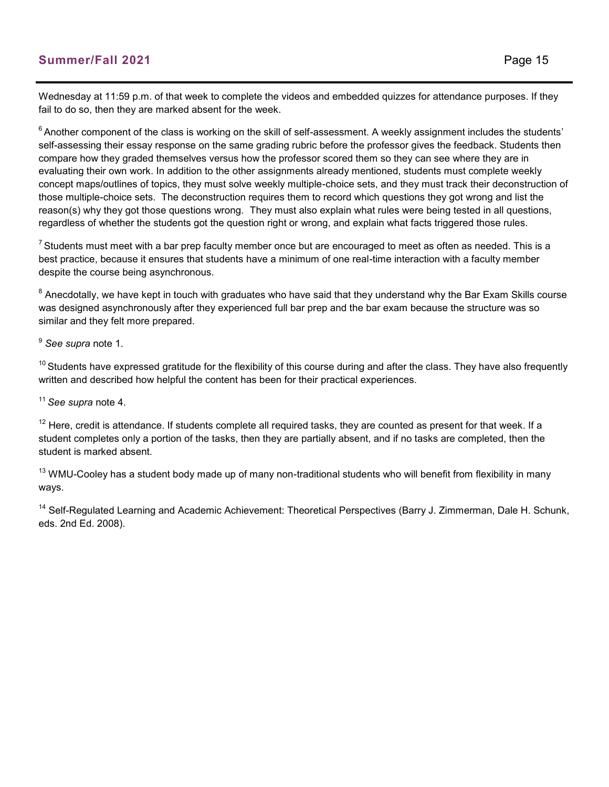Wednesday at 11:59 p.m. of that week to complete the videos and embedded quizzes for attendance purposes. If they fail to do so, then they are marked absent for the week.

 $6$  Another component of the class is working on the skill of self-assessment. A weekly assignment includes the students' self-assessing their essay response on the same grading rubric before the professor gives the feedback. Students then compare how they graded themselves versus how the professor scored them so they can see where they are in evaluating their own work. In addition to the other assignments already mentioned, students must complete weekly concept maps/outlines of topics, they must solve weekly multiple-choice sets, and they must track their deconstruction of those multiple-choice sets. The deconstruction requires them to record which questions they got wrong and list the reason(s) why they got those questions wrong. They must also explain what rules were being tested in all questions, regardless of whether the students got the question right or wrong, and explain what facts triggered those rules.

 $7$  Students must meet with a bar prep faculty member once but are encouraged to meet as often as needed. This is a best practice, because it ensures that students have a minimum of one real-time interaction with a faculty member despite the course being asynchronous.

 $^8$  Anecdotally, we have kept in touch with graduates who have said that they understand why the Bar Exam Skills course was designed asynchronously after they experienced full bar prep and the bar exam because the structure was so similar and they felt more prepared.

<sup>9</sup> *See supra* note 1.

 $10$  Students have expressed gratitude for the flexibility of this course during and after the class. They have also frequently written and described how helpful the content has been for their practical experiences.

<sup>11</sup>*See supra* note 4.

 $12$  Here, credit is attendance. If students complete all required tasks, they are counted as present for that week. If a student completes only a portion of the tasks, then they are partially absent, and if no tasks are completed, then the student is marked absent.

 $13$  WMU-Cooley has a student body made up of many non-traditional students who will benefit from flexibility in many ways.

<sup>14</sup> Self-Regulated Learning and Academic Achievement: Theoretical Perspectives (Barry J. Zimmerman, Dale H. Schunk, eds. 2nd Ed. 2008).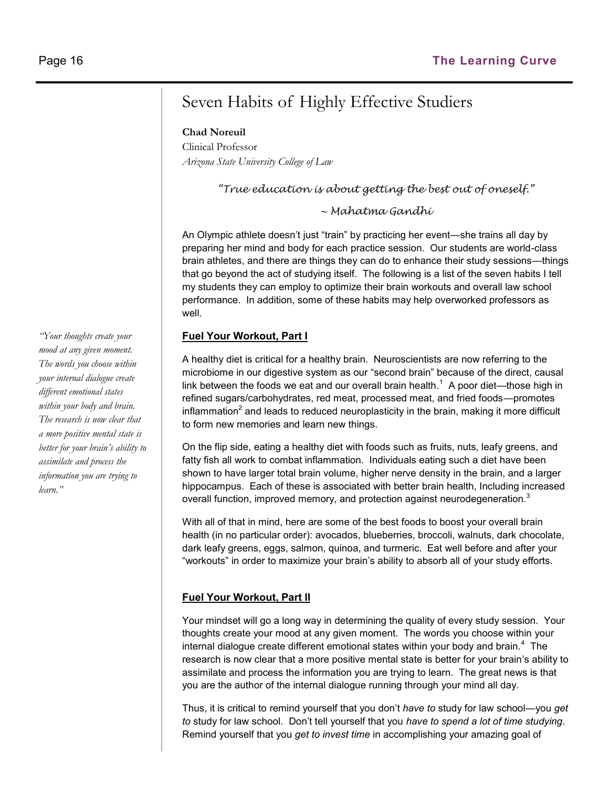## Seven Habits of Highly Effective Studiers

**Chad Noreuil**

Clinical Professor *Arizona State University College of Law*

*"True education is about getting the best out of oneself."*

*~ Mahatma Gandhi*

An Olympic athlete doesn't just "train" by practicing her event—she trains all day by preparing her mind and body for each practice session. Our students are world-class brain athletes, and there are things they can do to enhance their study sessions—things that go beyond the act of studying itself. The following is a list of the seven habits I tell my students they can employ to optimize their brain workouts and overall law school performance. In addition, some of these habits may help overworked professors as well.

#### **Fuel Your Workout, Part I**

A healthy diet is critical for a healthy brain. Neuroscientists are now referring to the microbiome in our digestive system as our "second brain" because of the direct, causal link between the foods we eat and our overall brain health.<sup>1</sup> A poor diet—those high in refined sugars/carbohydrates, red meat, processed meat, and fried foods—promotes inflammation $^2$  and leads to reduced neuroplasticity in the brain, making it more difficult to form new memories and learn new things.

On the flip side, eating a healthy diet with foods such as fruits, nuts, leafy greens, and fatty fish all work to combat inflammation. Individuals eating such a diet have been shown to have larger total brain volume, higher nerve density in the brain, and a larger hippocampus. Each of these is associated with better brain health, Including increased overall function, improved memory, and protection against neurodegeneration. $^3$ 

With all of that in mind, here are some of the best foods to boost your overall brain health (in no particular order): avocados, blueberries, broccoli, walnuts, dark chocolate, dark leafy greens, eggs, salmon, quinoa, and turmeric. Eat well before and after your "workouts" in order to maximize your brain's ability to absorb all of your study efforts.

#### **Fuel Your Workout, Part II**

Your mindset will go a long way in determining the quality of every study session. Your thoughts create your mood at any given moment. The words you choose within your internal dialogue create different emotional states within your body and brain. $^4\,$  The research is now clear that a more positive mental state is better for your brain's ability to assimilate and process the information you are trying to learn. The great news is that you are the author of the internal dialogue running through your mind all day.

Thus, it is critical to remind yourself that you don't *have to* study for law school—you *get to* study for law school. Don't tell yourself that you *have to spend a lot of time studying*. Remind yourself that you *get to invest time* in accomplishing your amazing goal of

*"Your thoughts create your mood at any given moment. The words you choose within your internal dialogue create different emotional states within your body and brain. The research is now clear that a more positive mental state is better for your brain's ability to assimilate and process the information you are trying to learn."*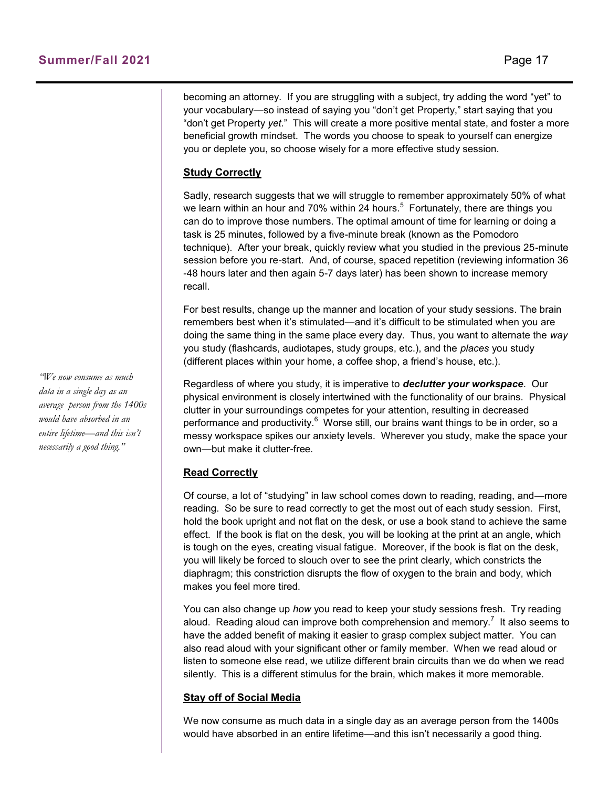becoming an attorney. If you are struggling with a subject, try adding the word "yet" to your vocabulary—so instead of saying you "don't get Property," start saying that you "don't get Property *yet*." This will create a more positive mental state, and foster a more beneficial growth mindset. The words you choose to speak to yourself can energize you or deplete you, so choose wisely for a more effective study session.

#### **Study Correctly**

Sadly, research suggests that we will struggle to remember approximately 50% of what we learn within an hour and 70% within 24 hours. $^5\,$  Fortunately, there are things you can do to improve those numbers. The optimal amount of time for learning or doing a task is 25 minutes, followed by a five-minute break (known as the Pomodoro technique). After your break, quickly review what you studied in the previous 25-minute session before you re-start. And, of course, spaced repetition (reviewing information 36 -48 hours later and then again 5-7 days later) has been shown to increase memory recall.

For best results, change up the manner and location of your study sessions. The brain remembers best when it's stimulated—and it's difficult to be stimulated when you are doing the same thing in the same place every day. Thus, you want to alternate the *way* you study (flashcards, audiotapes, study groups, etc.), and the *places* you study (different places within your home, a coffee shop, a friend's house, etc.).

Regardless of where you study, it is imperative to *declutter your workspace*. Our physical environment is closely intertwined with the functionality of our brains. Physical clutter in your surroundings competes for your attention, resulting in decreased performance and productivity.<sup>6</sup> Worse still, our brains want things to be in order, so a messy workspace spikes our anxiety levels.Wherever you study, make the space your own—but make it clutter-free*.* 

#### **Read Correctly**

Of course, a lot of "studying" in law school comes down to reading, reading, and—more reading. So be sure to read correctly to get the most out of each study session. First, hold the book upright and not flat on the desk, or use a book stand to achieve the same effect. If the book is flat on the desk, you will be looking at the print at an angle, which is tough on the eyes, creating visual fatigue. Moreover, if the book is flat on the desk, you will likely be forced to slouch over to see the print clearly, which constricts the diaphragm; this constriction disrupts the flow of oxygen to the brain and body, which makes you feel more tired.

You can also change up *how* you read to keep your study sessions fresh. Try reading aloud. Reading aloud can improve both comprehension and memory.<sup>7</sup> It also seems to have the added benefit of making it easier to grasp complex subject matter. You can also read aloud with your significant other or family member. When we read aloud or listen to someone else read, we utilize different brain circuits than we do when we read silently. This is a different stimulus for the brain, which makes it more memorable.

#### **Stay off of Social Media**

We now consume as much data in a single day as an average person from the 1400s would have absorbed in an entire lifetime—and this isn't necessarily a good thing.

*"We now consume as much data in a single day as an average person from the 1400s would have absorbed in an entire lifetime—and this isn't necessarily a good thing."*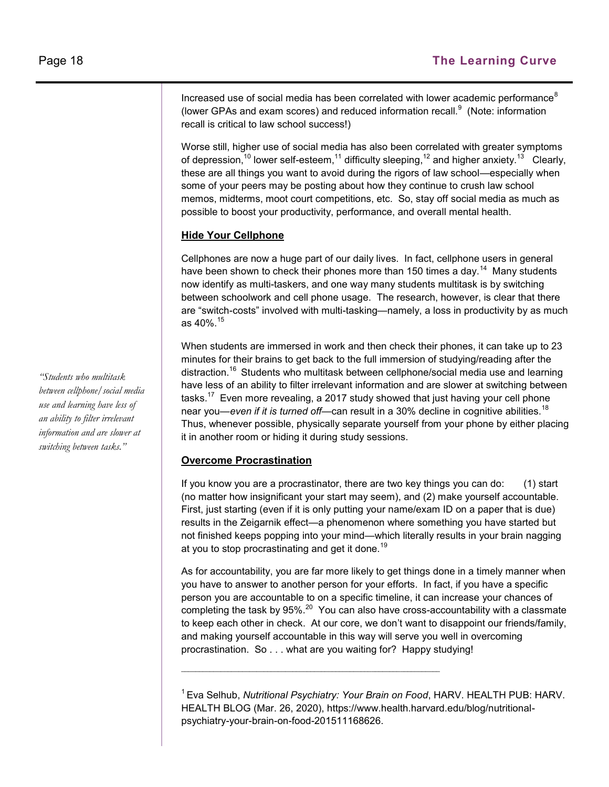Increased use of social media has been correlated with lower academic performance $^8$ (lower GPAs and exam scores) and reduced information recall. $^9$  (Note: information recall is critical to law school success!)

Worse still, higher use of social media has also been correlated with greater symptoms of depression, $^{10}$  lower self-esteem, $^{11}$  difficulty sleeping, $^{12}$  and higher anxiety. $^{13}$   $\,$  Clearly, these are all things you want to avoid during the rigors of law school—especially when some of your peers may be posting about how they continue to crush law school memos, midterms, moot court competitions, etc. So, stay off social media as much as possible to boost your productivity, performance, and overall mental health.

#### **Hide Your Cellphone**

Cellphones are now a huge part of our daily lives. In fact, cellphone users in general have been shown to check their phones more than 150 times a day. $^\mathrm{14}$  Many students now identify as multi-taskers, and one way many students multitask is by switching between schoolwork and cell phone usage. The research, however, is clear that there are "switch-costs" involved with multi-tasking—namely, a loss in productivity by as much as 40%.<sup>15</sup>

When students are immersed in work and then check their phones, it can take up to 23 minutes for their brains to get back to the full immersion of studying/reading after the distraction.<sup>16</sup> Students who multitask between cellphone/social media use and learning have less of an ability to filter irrelevant information and are slower at switching between tasks. $^{17}$  Even more revealing, a 2017 study showed that just having your cell phone near you—*even if it is turned off*—can result in a 30% decline in cognitive abilities.<sup>18</sup> Thus, whenever possible, physically separate yourself from your phone by either placing it in another room or hiding it during study sessions.

#### **Overcome Procrastination**

If you know you are a procrastinator, there are two key things you can do: (1) start (no matter how insignificant your start may seem), and (2) make yourself accountable. First, just starting (even if it is only putting your name/exam ID on a paper that is due) results in the Zeigarnik effect—a phenomenon where something you have started but not finished keeps popping into your mind—which literally results in your brain nagging at you to stop procrastinating and get it done.<sup>19</sup>

As for accountability, you are far more likely to get things done in a timely manner when you have to answer to another person for your efforts. In fact, if you have a specific person you are accountable to on a specific timeline, it can increase your chances of completing the task by 95%. $^{20}\,$  You can also have cross-accountability with a classmate to keep each other in check. At our core, we don't want to disappoint our friends/family, and making yourself accountable in this way will serve you well in overcoming procrastination. So . . . what are you waiting for? Happy studying!

<sup>1</sup>Eva Selhub, *Nutritional Psychiatry: Your Brain on Food*, HARV. HEALTH PUB: HARV. HEALTH BLOG (Mar. 26, 2020), https://www.health.harvard.edu/blog/nutritionalpsychiatry-your-brain-on-food-201511168626.

 $\mathcal{L}_\text{max}$ 

*"Students who multitask between cellphone/social media use and learning have less of an ability to filter irrelevant information and are slower at switching between tasks."*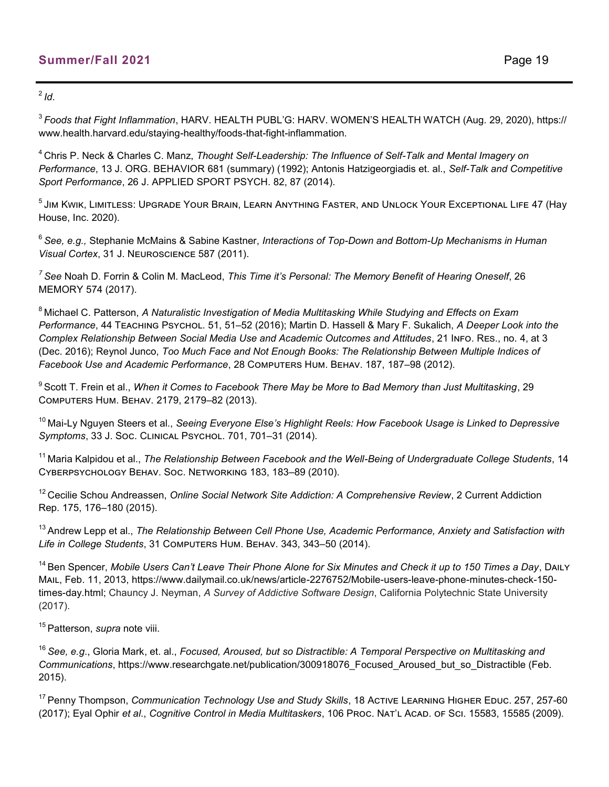$^{2}$ *Id*.

<sup>3</sup>*Foods that Fight Inflammation*, HARV. HEALTH PUBL'G: HARV. WOMEN'S HEALTH WATCH (Aug. 29, 2020), https:// www.health.harvard.edu/staying-healthy/foods-that-fight-inflammation.

<sup>4</sup>Chris P. Neck & Charles C. Manz, *Thought Self-Leadership: The Influence of Self-Talk and Mental Imagery on Performance*, 13 J. ORG. BEHAVIOR 681 (summary) (1992); Antonis Hatzigeorgiadis et. al., *Self-Talk and Competitive Sport Performance*, 26 J. APPLIED SPORT PSYCH. 82, 87 (2014).

 $^5\,$ Jim Kwik, Limitless: Upgrade Your Brain, Learn Anything Faster, and Unlock Your Exceptional Life 47 (Hay House, Inc. 2020).

<sup>6</sup>*See, e.g.,* Stephanie McMains & Sabine Kastner, *Interactions of Top-Down and Bottom-Up Mechanisms in Human Visual Cortex*, 31 J. Neuroscience 587 (2011).

*<sup>7</sup>See* Noah D. Forrin & Colin M. MacLeod, *This Time it's Personal: The Memory Benefit of Hearing Oneself*, 26 MEMORY 574 (2017).

<sup>8</sup>Michael C. Patterson, *A Naturalistic Investigation of Media Multitasking While Studying and Effects on Exam Performance*, 44 Teaching Psychol. 51, 51–52 (2016); Martin D. Hassell & Mary F. Sukalich, *A Deeper Look into the Complex Relationship Between Social Media Use and Academic Outcomes and Attitudes*, 21 Info. Res., no. 4, at 3 (Dec. 2016); Reynol Junco, *Too Much Face and Not Enough Books: The Relationship Between Multiple Indices of*  Facebook Use and Academic Performance, 28 COMPUTERS HUM. BEHAV. 187, 187-98 (2012).

<sup>9</sup>Scott T. Frein et al., *When it Comes to Facebook There May be More to Bad Memory than Just Multitasking*, 29 Computers Hum. Behav. 2179, 2179–82 (2013).

<sup>10</sup> Mai-Ly Nguyen Steers et al., *Seeing Everyone Else's Highlight Reels: How Facebook Usage is Linked to Depressive Symptoms*, 33 J. Soc. Clinical Psychol. 701, 701–31 (2014).

<sup>11</sup> Maria Kalpidou et al., *The Relationship Between Facebook and the Well-Being of Undergraduate College Students, 14* Cyberpsychology Behav. Soc. Networking 183, 183–89 (2010).

<sup>12</sup> Cecilie Schou Andreassen, *Online Social Network Site Addiction: A Comprehensive Review*, 2 Current Addiction Rep. 175, 176–180 (2015).

<sup>13</sup> Andrew Lepp et al., *The Relationship Between Cell Phone Use, Academic Performance, Anxiety and Satisfaction with Life in College Students*, 31 Computers Hum. Behav. 343, 343–50 (2014).

<sup>14</sup>Ben Spencer, *Mobile Users Can't Leave Their Phone Alone for Six Minutes and Check it up to 150 Times a Day*, Daily Mail, Feb. 11, 2013, https://www.dailymail.co.uk/news/article-2276752/Mobile-users-leave-phone-minutes-check-150 times-day.html; Chauncy J. Neyman, *A Survey of Addictive Software Design*, California Polytechnic State University (2017).

<sup>15</sup> Patterson, *supra* note viii.

<sup>16</sup>*See, e.g*., Gloria Mark, et. al., *Focused, Aroused, but so Distractible: A Temporal Perspective on Multitasking and Communications*, https://www.researchgate.net/publication/300918076\_Focused\_Aroused\_but\_so\_Distractible (Feb. 2015).

<sup>17</sup> Penny Thompson, *Communication Technology Use and Study Skills*, 18 Active Learning Higher Educ. 257, 257-60 (2017); Eyal Ophir *et al*., *Cognitive Control in Media Multitaskers*, 106 Proc. Nat'l Acad. of Sci. 15583, 15585 (2009).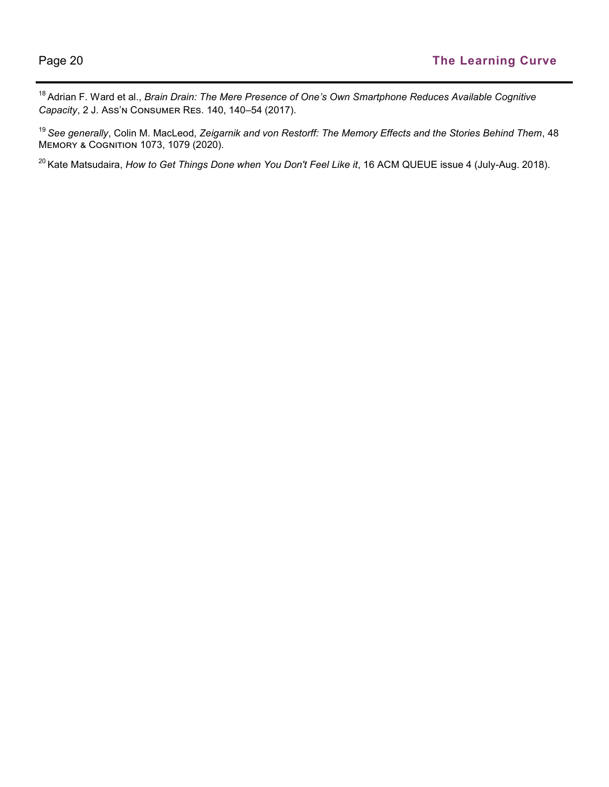<sup>18</sup>Adrian F. Ward et al., *Brain Drain: The Mere Presence of One's Own Smartphone Reduces Available Cognitive Capacity*, 2 J. Ass'n Consumer Res. 140, 140–54 (2017).

<sup>19</sup>*See generally*, Colin M. MacLeod, *Zeigarnik and von Restorff: The Memory Effects and the Stories Behind Them*, 48 Memory & Cognition 1073, 1079 (2020).

<sup>20</sup> Kate Matsudaira, *How to Get Things Done when You Don't Feel Like it*, 16 ACM QUEUE issue 4 (July-Aug. 2018).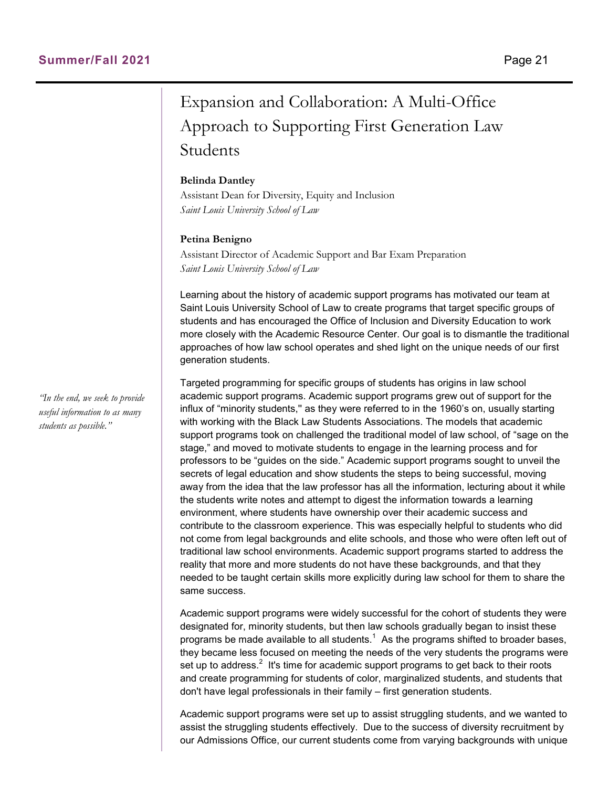## Expansion and Collaboration: A Multi-Office Approach to Supporting First Generation Law Students

#### **Belinda Dantley**

Assistant Dean for Diversity, Equity and Inclusion *Saint Louis University School of Law*

#### **Petina Benigno**

Assistant Director of Academic Support and Bar Exam Preparation *Saint Louis University School of Law*

Learning about the history of academic support programs has motivated our team at Saint Louis University School of Law to create programs that target specific groups of students and has encouraged the Office of Inclusion and Diversity Education to work more closely with the Academic Resource Center. Our goal is to dismantle the traditional approaches of how law school operates and shed light on the unique needs of our first generation students.

Targeted programming for specific groups of students has origins in law school academic support programs. Academic support programs grew out of support for the influx of "minority students,'' as they were referred to in the 1960's on, usually starting with working with the Black Law Students Associations. The models that academic support programs took on challenged the traditional model of law school, of "sage on the stage," and moved to motivate students to engage in the learning process and for professors to be "guides on the side." Academic support programs sought to unveil the secrets of legal education and show students the steps to being successful, moving away from the idea that the law professor has all the information, lecturing about it while the students write notes and attempt to digest the information towards a learning environment, where students have ownership over their academic success and contribute to the classroom experience. This was especially helpful to students who did not come from legal backgrounds and elite schools, and those who were often left out of traditional law school environments. Academic support programs started to address the reality that more and more students do not have these backgrounds, and that they needed to be taught certain skills more explicitly during law school for them to share the same success.

Academic support programs were widely successful for the cohort of students they were designated for, minority students, but then law schools gradually began to insist these programs be made available to all students. $^{\rm 1}$  As the programs shifted to broader bases, they became less focused on meeting the needs of the very students the programs were set up to address. $^2\,$  It's time for academic support programs to get back to their roots and create programming for students of color, marginalized students, and students that don't have legal professionals in their family – first generation students.

Academic support programs were set up to assist struggling students, and we wanted to assist the struggling students effectively. Due to the success of diversity recruitment by our Admissions Office, our current students come from varying backgrounds with unique

*"In the end, we seek to provide useful information to as many students as possible."*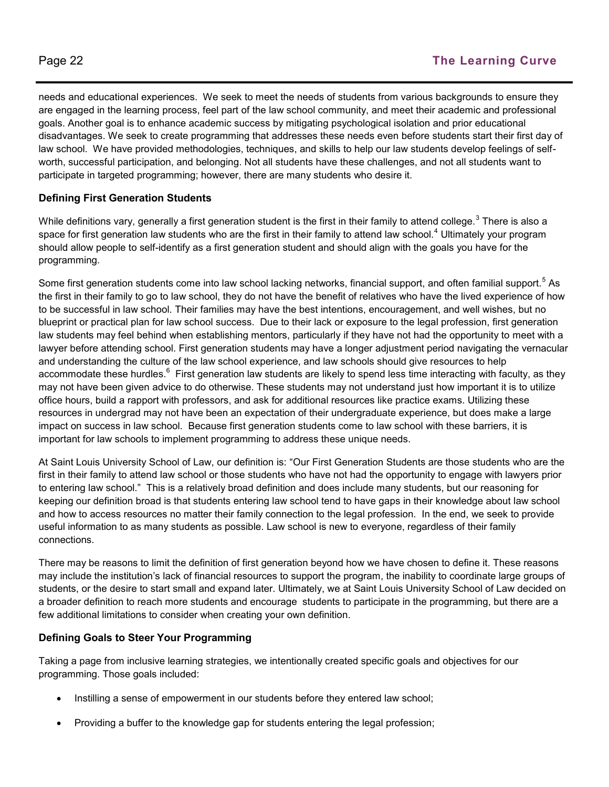needs and educational experiences. We seek to meet the needs of students from various backgrounds to ensure they are engaged in the learning process, feel part of the law school community, and meet their academic and professional goals. Another goal is to enhance academic success by mitigating psychological isolation and prior educational disadvantages. We seek to create programming that addresses these needs even before students start their first day of law school. We have provided methodologies, techniques, and skills to help our law students develop feelings of selfworth, successful participation, and belonging. Not all students have these challenges, and not all students want to participate in targeted programming; however, there are many students who desire it.

#### **Defining First Generation Students**

While definitions vary, generally a first generation student is the first in their family to attend college. $^3$  There is also a space for first generation law students who are the first in their family to attend law school.<sup>4</sup> Ultimately your program should allow people to self-identify as a first generation student and should align with the goals you have for the programming.

Some first generation students come into law school lacking networks, financial support, and often familial support.<sup>5</sup> As the first in their family to go to law school, they do not have the benefit of relatives who have the lived experience of how to be successful in law school. Their families may have the best intentions, encouragement, and well wishes, but no blueprint or practical plan for law school success. Due to their lack or exposure to the legal profession, first generation law students may feel behind when establishing mentors, particularly if they have not had the opportunity to meet with a lawyer before attending school. First generation students may have a longer adjustment period navigating the vernacular and understanding the culture of the law school experience, and law schools should give resources to help accommodate these hurdles. $^6\,$  First generation law students are likely to spend less time interacting with faculty, as they may not have been given advice to do otherwise. These students may not understand just how important it is to utilize office hours, build a rapport with professors, and ask for additional resources like practice exams. Utilizing these resources in undergrad may not have been an expectation of their undergraduate experience, but does make a large impact on success in law school. Because first generation students come to law school with these barriers, it is important for law schools to implement programming to address these unique needs.

At Saint Louis University School of Law, our definition is: "Our First Generation Students are those students who are the first in their family to attend law school or those students who have not had the opportunity to engage with lawyers prior to entering law school." This is a relatively broad definition and does include many students, but our reasoning for keeping our definition broad is that students entering law school tend to have gaps in their knowledge about law school and how to access resources no matter their family connection to the legal profession. In the end, we seek to provide useful information to as many students as possible. Law school is new to everyone, regardless of their family connections.

There may be reasons to limit the definition of first generation beyond how we have chosen to define it. These reasons may include the institution's lack of financial resources to support the program, the inability to coordinate large groups of students, or the desire to start small and expand later. Ultimately, we at Saint Louis University School of Law decided on a broader definition to reach more students and encourage students to participate in the programming, but there are a few additional limitations to consider when creating your own definition.

#### **Defining Goals to Steer Your Programming**

Taking a page from inclusive learning strategies, we intentionally created specific goals and objectives for our programming. Those goals included:

- Instilling a sense of empowerment in our students before they entered law school;
- Providing a buffer to the knowledge gap for students entering the legal profession;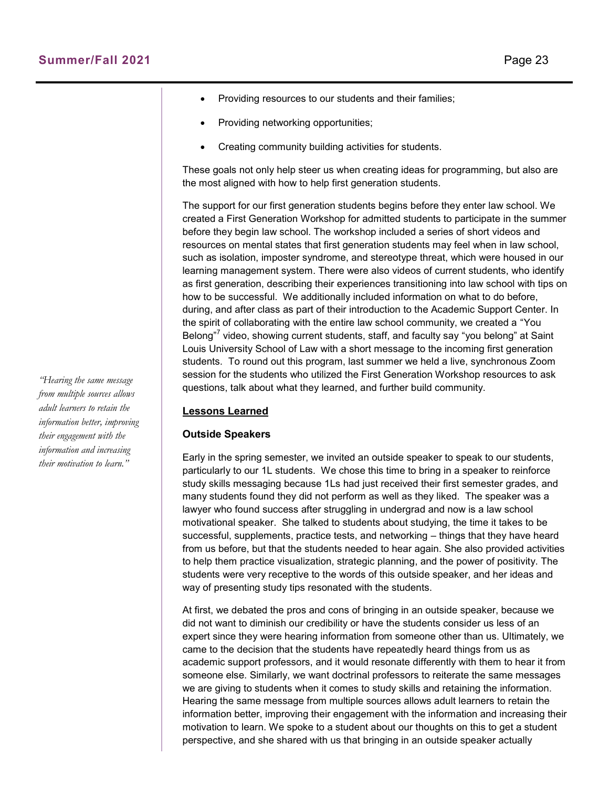- Providing resources to our students and their families;
- Providing networking opportunities;
- Creating community building activities for students.

These goals not only help steer us when creating ideas for programming, but also are the most aligned with how to help first generation students.

The support for our first generation students begins before they enter law school. We created a First Generation Workshop for admitted students to participate in the summer before they begin law school. The workshop included a series of short videos and resources on mental states that first generation students may feel when in law school, such as isolation, imposter syndrome, and stereotype threat, which were housed in our learning management system. There were also videos of current students, who identify as first generation, describing their experiences transitioning into law school with tips on how to be successful. We additionally included information on what to do before, during, and after class as part of their introduction to the Academic Support Center. In the spirit of collaborating with the entire law school community, we created a "You Belong"<sup>7</sup> video, showing current students, staff, and faculty say "you belong" at Saint Louis University School of Law with a short message to the incoming first generation students. To round out this program, last summer we held a live, synchronous Zoom session for the students who utilized the First Generation Workshop resources to ask questions, talk about what they learned, and further build community.

#### **Lessons Learned**

#### **Outside Speakers**

Early in the spring semester, we invited an outside speaker to speak to our students, particularly to our 1L students. We chose this time to bring in a speaker to reinforce study skills messaging because 1Ls had just received their first semester grades, and many students found they did not perform as well as they liked. The speaker was a lawyer who found success after struggling in undergrad and now is a law school motivational speaker. She talked to students about studying, the time it takes to be successful, supplements, practice tests, and networking – things that they have heard from us before, but that the students needed to hear again. She also provided activities to help them practice visualization, strategic planning, and the power of positivity. The students were very receptive to the words of this outside speaker, and her ideas and way of presenting study tips resonated with the students.

At first, we debated the pros and cons of bringing in an outside speaker, because we did not want to diminish our credibility or have the students consider us less of an expert since they were hearing information from someone other than us. Ultimately, we came to the decision that the students have repeatedly heard things from us as academic support professors, and it would resonate differently with them to hear it from someone else. Similarly, we want doctrinal professors to reiterate the same messages we are giving to students when it comes to study skills and retaining the information. Hearing the same message from multiple sources allows adult learners to retain the information better, improving their engagement with the information and increasing their motivation to learn. We spoke to a student about our thoughts on this to get a student perspective, and she shared with us that bringing in an outside speaker actually

*"Hearing the same message from multiple sources allows adult learners to retain the information better, improving their engagement with the information and increasing their motivation to learn."*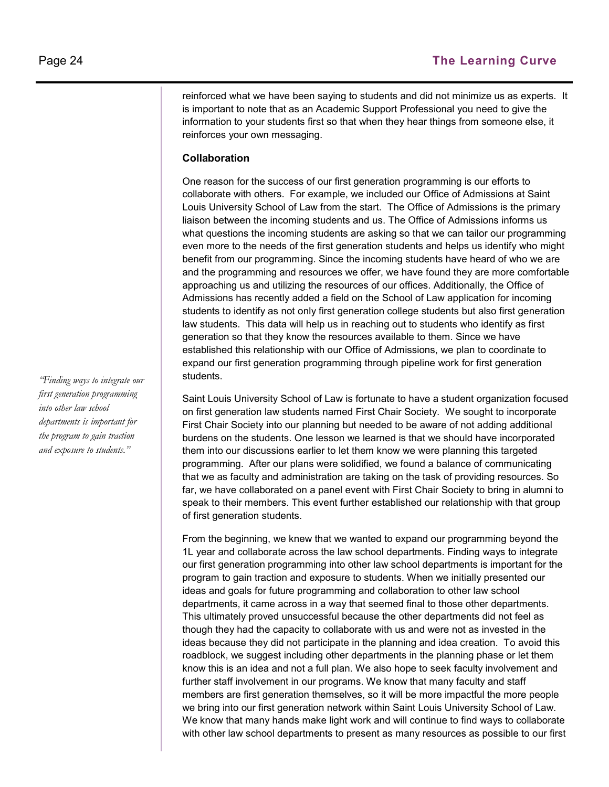reinforced what we have been saying to students and did not minimize us as experts. It is important to note that as an Academic Support Professional you need to give the information to your students first so that when they hear things from someone else, it reinforces your own messaging.

#### **Collaboration**

One reason for the success of our first generation programming is our efforts to collaborate with others. For example, we included our Office of Admissions at Saint Louis University School of Law from the start. The Office of Admissions is the primary liaison between the incoming students and us. The Office of Admissions informs us what questions the incoming students are asking so that we can tailor our programming even more to the needs of the first generation students and helps us identify who might benefit from our programming. Since the incoming students have heard of who we are and the programming and resources we offer, we have found they are more comfortable approaching us and utilizing the resources of our offices. Additionally, the Office of Admissions has recently added a field on the School of Law application for incoming students to identify as not only first generation college students but also first generation law students. This data will help us in reaching out to students who identify as first generation so that they know the resources available to them. Since we have established this relationship with our Office of Admissions, we plan to coordinate to expand our first generation programming through pipeline work for first generation students.

Saint Louis University School of Law is fortunate to have a student organization focused on first generation law students named First Chair Society. We sought to incorporate First Chair Society into our planning but needed to be aware of not adding additional burdens on the students. One lesson we learned is that we should have incorporated them into our discussions earlier to let them know we were planning this targeted programming. After our plans were solidified, we found a balance of communicating that we as faculty and administration are taking on the task of providing resources. So far, we have collaborated on a panel event with First Chair Society to bring in alumni to speak to their members. This event further established our relationship with that group of first generation students.

From the beginning, we knew that we wanted to expand our programming beyond the 1L year and collaborate across the law school departments. Finding ways to integrate our first generation programming into other law school departments is important for the program to gain traction and exposure to students. When we initially presented our ideas and goals for future programming and collaboration to other law school departments, it came across in a way that seemed final to those other departments. This ultimately proved unsuccessful because the other departments did not feel as though they had the capacity to collaborate with us and were not as invested in the ideas because they did not participate in the planning and idea creation. To avoid this roadblock, we suggest including other departments in the planning phase or let them know this is an idea and not a full plan. We also hope to seek faculty involvement and further staff involvement in our programs. We know that many faculty and staff members are first generation themselves, so it will be more impactful the more people we bring into our first generation network within Saint Louis University School of Law. We know that many hands make light work and will continue to find ways to collaborate with other law school departments to present as many resources as possible to our first

*"Finding ways to integrate our first generation programming into other law school departments is important for the program to gain traction and exposure to students."*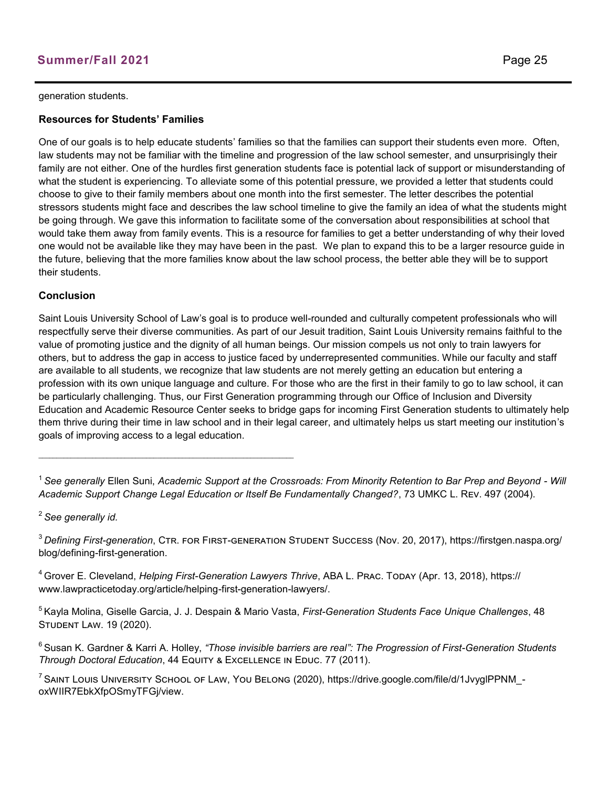#### generation students.

#### **Resources for Students' Families**

One of our goals is to help educate students' families so that the families can support their students even more. Often, law students may not be familiar with the timeline and progression of the law school semester, and unsurprisingly their family are not either. One of the hurdles first generation students face is potential lack of support or misunderstanding of what the student is experiencing. To alleviate some of this potential pressure, we provided a letter that students could choose to give to their family members about one month into the first semester. The letter describes the potential stressors students might face and describes the law school timeline to give the family an idea of what the students might be going through. We gave this information to facilitate some of the conversation about responsibilities at school that would take them away from family events. This is a resource for families to get a better understanding of why their loved one would not be available like they may have been in the past. We plan to expand this to be a larger resource guide in the future, believing that the more families know about the law school process, the better able they will be to support their students.

#### **Conclusion**

Saint Louis University School of Law's goal is to produce well-rounded and culturally competent professionals who will respectfully serve their diverse communities. As part of our Jesuit tradition, Saint Louis University remains faithful to the value of promoting justice and the dignity of all human beings. Our mission compels us not only to train lawyers for others, but to address the gap in access to justice faced by underrepresented communities. While our faculty and staff are available to all students, we recognize that law students are not merely getting an education but entering a profession with its own unique language and culture. For those who are the first in their family to go to law school, it can be particularly challenging. Thus, our First Generation programming through our Office of Inclusion and Diversity Education and Academic Resource Center seeks to bridge gaps for incoming First Generation students to ultimately help them thrive during their time in law school and in their legal career, and ultimately helps us start meeting our institution's goals of improving access to a legal education.

<sup>1</sup>*See generally* Ellen Suni, *Academic Support at the Crossroads: From Minority Retention to Bar Prep and Beyond - Will Academic Support Change Legal Education or Itself Be Fundamentally Changed?*, 73 UMKC L. Rev. 497 (2004).

<sup>2</sup>*See generally id.* 

<sup>3</sup>*Defining First-generation*, Ctr. for First-generation Student Success (Nov. 20, 2017), https://firstgen.naspa.org/ blog/defining-first-generation.

<sup>4</sup>Grover E. Cleveland, *Helping First-Generation Lawyers Thrive*, ABA L. Prac. Today (Apr. 13, 2018), https:// www.lawpracticetoday.org/article/helping-first-generation-lawyers/.

<sup>5</sup>Kayla Molina, Giselle Garcia, J. J. Despain & Mario Vasta, *First-Generation Students Face Unique Challenges*, 48 Student Law. 19 (2020).

<sup>6</sup>Susan K. Gardner & Karri A. Holley, *"Those invisible barriers are real": The Progression of First-Generation Students*  **Through Doctoral Education, 44 EQUITY & EXCELLENCE IN EDUC. 77 (2011).** 

<sup>7</sup> SAINT LOUIS UNIVERSITY SCHOOL OF LAW, YOU BELONG (2020), https://drive.google.com/file/d/1JvyglPPNM\_oxWIIR7EbkXfpOSmyTFGj/view.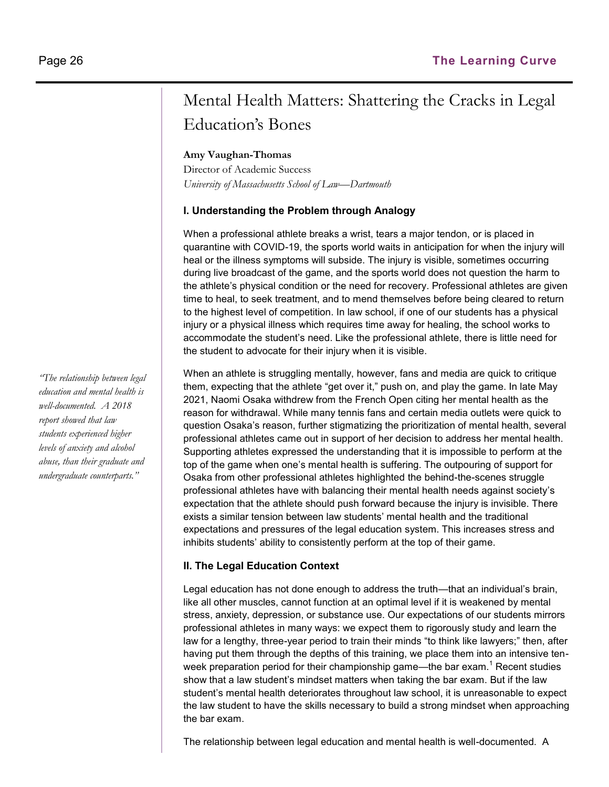## Mental Health Matters: Shattering the Cracks in Legal Education's Bones

#### **Amy Vaughan-Thomas**

Director of Academic Success *University of Massachusetts School of Law—Dartmouth*

#### **I. Understanding the Problem through Analogy**

When a professional athlete breaks a wrist, tears a major tendon, or is placed in quarantine with COVID-19, the sports world waits in anticipation for when the injury will heal or the illness symptoms will subside. The injury is visible, sometimes occurring during live broadcast of the game, and the sports world does not question the harm to the athlete's physical condition or the need for recovery. Professional athletes are given time to heal, to seek treatment, and to mend themselves before being cleared to return to the highest level of competition. In law school, if one of our students has a physical injury or a physical illness which requires time away for healing, the school works to accommodate the student's need. Like the professional athlete, there is little need for the student to advocate for their injury when it is visible.

When an athlete is struggling mentally, however, fans and media are quick to critique them, expecting that the athlete "get over it," push on, and play the game. In late May 2021, Naomi Osaka withdrew from the French Open citing her mental health as the reason for withdrawal. While many tennis fans and certain media outlets were quick to question Osaka's reason, further stigmatizing the prioritization of mental health, several professional athletes came out in support of her decision to address her mental health. Supporting athletes expressed the understanding that it is impossible to perform at the top of the game when one's mental health is suffering. The outpouring of support for Osaka from other professional athletes highlighted the behind-the-scenes struggle professional athletes have with balancing their mental health needs against society's expectation that the athlete should push forward because the injury is invisible. There exists a similar tension between law students' mental health and the traditional expectations and pressures of the legal education system. This increases stress and inhibits students' ability to consistently perform at the top of their game.

#### **II. The Legal Education Context**

Legal education has not done enough to address the truth—that an individual's brain, like all other muscles, cannot function at an optimal level if it is weakened by mental stress, anxiety, depression, or substance use. Our expectations of our students mirrors professional athletes in many ways: we expect them to rigorously study and learn the law for a lengthy, three-year period to train their minds "to think like lawyers;" then, after having put them through the depths of this training, we place them into an intensive tenweek preparation period for their championship game—the bar exam.<sup>1</sup> Recent studies show that a law student's mindset matters when taking the bar exam. But if the law student's mental health deteriorates throughout law school, it is unreasonable to expect the law student to have the skills necessary to build a strong mindset when approaching the bar exam.

The relationship between legal education and mental health is well-documented. A

*"The relationship between legal education and mental health is well-documented. A 2018 report showed that law students experienced higher levels of anxiety and alcohol abuse, than their graduate and undergraduate counterparts."*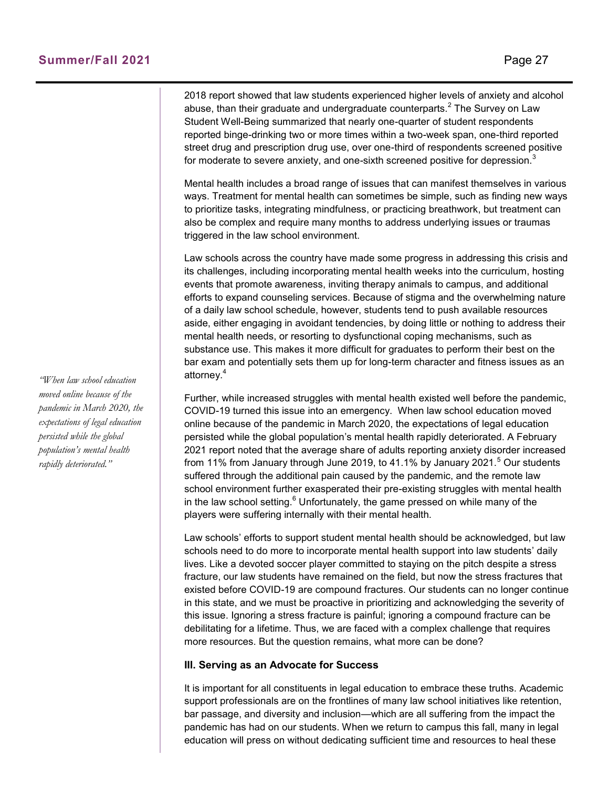2018 report showed that law students experienced higher levels of anxiety and alcohol abuse, than their graduate and undergraduate counterparts. $^2$  The Survey on Law Student Well-Being summarized that nearly one-quarter of student respondents reported binge-drinking two or more times within a two-week span, one-third reported street drug and prescription drug use, over one-third of respondents screened positive for moderate to severe anxiety, and one-sixth screened positive for depression. $3$ 

Mental health includes a broad range of issues that can manifest themselves in various ways. Treatment for mental health can sometimes be simple, such as finding new ways to prioritize tasks, integrating mindfulness, or practicing breathwork, but treatment can also be complex and require many months to address underlying issues or traumas triggered in the law school environment.

Law schools across the country have made some progress in addressing this crisis and its challenges, including incorporating mental health weeks into the curriculum, hosting events that promote awareness, inviting therapy animals to campus, and additional efforts to expand counseling services. Because of stigma and the overwhelming nature of a daily law school schedule, however, students tend to push available resources aside, either engaging in avoidant tendencies, by doing little or nothing to address their mental health needs, or resorting to dysfunctional coping mechanisms, such as substance use. This makes it more difficult for graduates to perform their best on the bar exam and potentially sets them up for long-term character and fitness issues as an attorney.<sup>4</sup>

Further, while increased struggles with mental health existed well before the pandemic, COVID-19 turned this issue into an emergency. When law school education moved online because of the pandemic in March 2020, the expectations of legal education persisted while the global population's mental health rapidly deteriorated. A February 2021 report noted that the average share of adults reporting anxiety disorder increased from 11% from January through June 2019, to 41.1% by January 2021.<sup>5</sup> Our students suffered through the additional pain caused by the pandemic, and the remote law school environment further exasperated their pre-existing struggles with mental health in the law school setting. $6$  Unfortunately, the game pressed on while many of the players were suffering internally with their mental health.

Law schools' efforts to support student mental health should be acknowledged, but law schools need to do more to incorporate mental health support into law students' daily lives. Like a devoted soccer player committed to staying on the pitch despite a stress fracture, our law students have remained on the field, but now the stress fractures that existed before COVID-19 are compound fractures. Our students can no longer continue in this state, and we must be proactive in prioritizing and acknowledging the severity of this issue. Ignoring a stress fracture is painful; ignoring a compound fracture can be debilitating for a lifetime. Thus, we are faced with a complex challenge that requires more resources. But the question remains, what more can be done?

#### **III. Serving as an Advocate for Success**

It is important for all constituents in legal education to embrace these truths. Academic support professionals are on the frontlines of many law school initiatives like retention, bar passage, and diversity and inclusion—which are all suffering from the impact the pandemic has had on our students. When we return to campus this fall, many in legal education will press on without dedicating sufficient time and resources to heal these

*"When law school education moved online because of the pandemic in March 2020, the expectations of legal education persisted while the global population's mental health rapidly deteriorated."*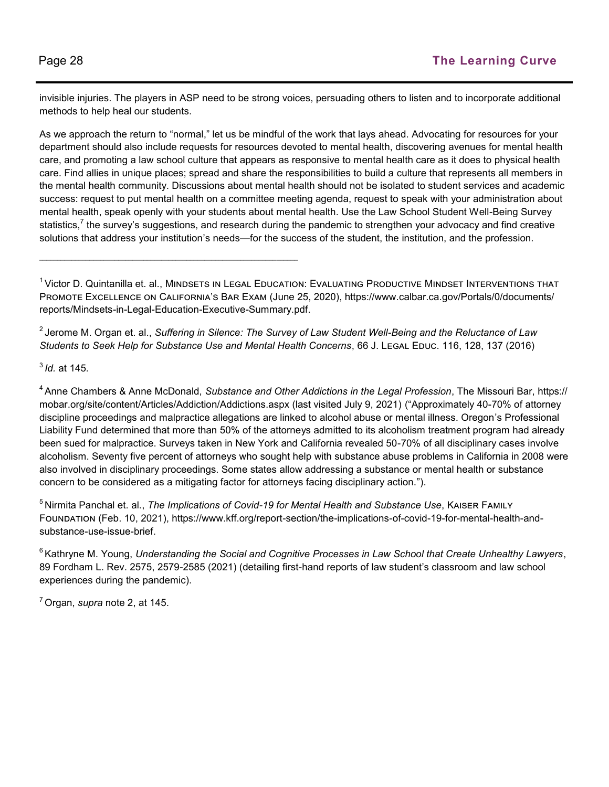invisible injuries. The players in ASP need to be strong voices, persuading others to listen and to incorporate additional methods to help heal our students.

As we approach the return to "normal," let us be mindful of the work that lays ahead. Advocating for resources for your department should also include requests for resources devoted to mental health, discovering avenues for mental health care, and promoting a law school culture that appears as responsive to mental health care as it does to physical health care. Find allies in unique places; spread and share the responsibilities to build a culture that represents all members in the mental health community. Discussions about mental health should not be isolated to student services and academic success: request to put mental health on a committee meeting agenda, request to speak with your administration about mental health, speak openly with your students about mental health. Use the Law School Student Well-Being Survey statistics,<sup>7</sup> the survey's suggestions, and research during the pandemic to strengthen your advocacy and find creative solutions that address your institution's needs—for the success of the student, the institution, and the profession.

<sup>2</sup>Jerome M. Organ et. al., *Suffering in Silence: The Survey of Law Student Well-Being and the Reluctance of Law Students to Seek Help for Substance Use and Mental Health Concerns*, 66 J. LEGAL EDUC. 116, 128, 137 (2016)

3 *Id.* at 145*.*

 $\_$  , and the set of the set of the set of the set of the set of the set of the set of the set of the set of the set of the set of the set of the set of the set of the set of the set of the set of the set of the set of th

<sup>4</sup>Anne Chambers & Anne McDonald, *Substance and Other Addictions in the Legal Profession*, The Missouri Bar, https:// mobar.org/site/content/Articles/Addiction/Addictions.aspx (last visited July 9, 2021) ("Approximately 40-70% of attorney discipline proceedings and malpractice allegations are linked to alcohol abuse or mental illness. Oregon's Professional Liability Fund determined that more than 50% of the attorneys admitted to its alcoholism treatment program had already been sued for malpractice. Surveys taken in New York and California revealed 50-70% of all disciplinary cases involve alcoholism. Seventy five percent of attorneys who sought help with substance abuse problems in California in 2008 were also involved in disciplinary proceedings. Some states allow addressing a substance or mental health or substance concern to be considered as a mitigating factor for attorneys facing disciplinary action.").

<sup>5</sup>Nirmita Panchal et. al., *The Implications of Covid-19 for Mental Health and Substance Use*, Kaiser Family Foundation (Feb. 10, 2021), https://www.kff.org/report-section/the-implications-of-covid-19-for-mental-health-andsubstance-use-issue-brief.

<sup>6</sup> Kathryne M. Young, *Understanding the Social and Cognitive Processes in Law School that Create Unhealthy Lawyers,* 89 Fordham L. Rev. 2575, 2579-2585 (2021) (detailing first-hand reports of law student's classroom and law school experiences during the pandemic).

<sup>7</sup>Organ, *supra* note 2, at 145.

<sup>&</sup>lt;sup>1</sup> Victor D. Quintanilla et. al., MINDSETS IN LEGAL EDUCATION: EVALUATING PRODUCTIVE MINDSET INTERVENTIONS THAT Promote Excellence on California's Bar Exam (June 25, 2020), https://www.calbar.ca.gov/Portals/0/documents/ reports/Mindsets-in-Legal-Education-Executive-Summary.pdf.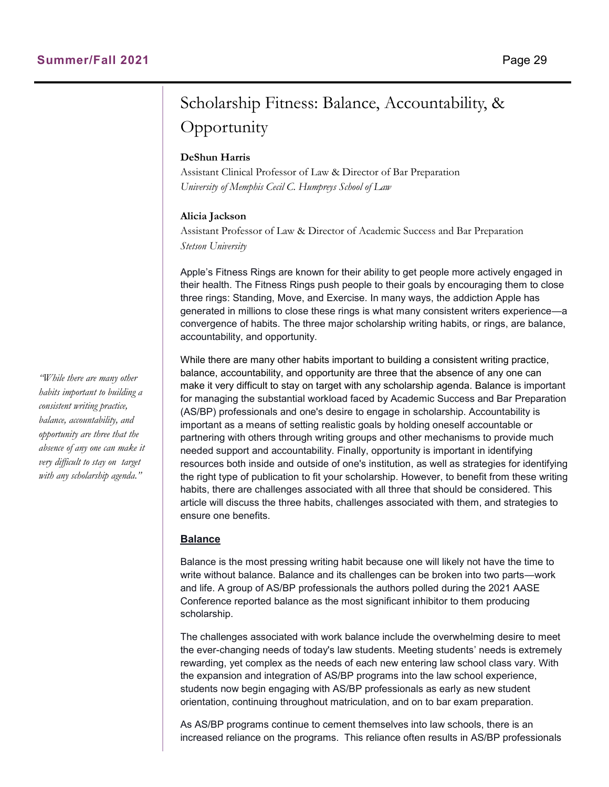## Scholarship Fitness: Balance, Accountability, & **Opportunity**

#### **DeShun Harris**

Assistant Clinical Professor of Law & Director of Bar Preparation *University of Memphis Cecil C. Humpreys School of Law*

#### **Alicia Jackson**

Assistant Professor of Law & Director of Academic Success and Bar Preparation *Stetson University*

Apple's Fitness Rings are known for their ability to get people more actively engaged in their health. The Fitness Rings push people to their goals by encouraging them to close three rings: Standing, Move, and Exercise. In many ways, the addiction Apple has generated in millions to close these rings is what many consistent writers experience—a convergence of habits. The three major scholarship writing habits, or rings, are balance, accountability, and opportunity.

While there are many other habits important to building a consistent writing practice, balance, accountability, and opportunity are three that the absence of any one can make it very difficult to stay on target with any scholarship agenda. Balance is important for managing the substantial workload faced by Academic Success and Bar Preparation (AS/BP) professionals and one's desire to engage in scholarship. Accountability is important as a means of setting realistic goals by holding oneself accountable or partnering with others through writing groups and other mechanisms to provide much needed support and accountability. Finally, opportunity is important in identifying resources both inside and outside of one's institution, as well as strategies for identifying the right type of publication to fit your scholarship. However, to benefit from these writing habits, there are challenges associated with all three that should be considered. This article will discuss the three habits, challenges associated with them, and strategies to ensure one benefits.

#### **Balance**

Balance is the most pressing writing habit because one will likely not have the time to write without balance. Balance and its challenges can be broken into two parts—work and life. A group of AS/BP professionals the authors polled during the 2021 AASE Conference reported balance as the most significant inhibitor to them producing scholarship.

The challenges associated with work balance include the overwhelming desire to meet the ever-changing needs of today's law students. Meeting students' needs is extremely rewarding, yet complex as the needs of each new entering law school class vary. With the expansion and integration of AS/BP programs into the law school experience, students now begin engaging with AS/BP professionals as early as new student orientation, continuing throughout matriculation, and on to bar exam preparation.

As AS/BP programs continue to cement themselves into law schools, there is an increased reliance on the programs. This reliance often results in AS/BP professionals

*"While there are many other habits important to building a consistent writing practice, balance, accountability, and opportunity are three that the absence of any one can make it very difficult to stay on target with any scholarship agenda."*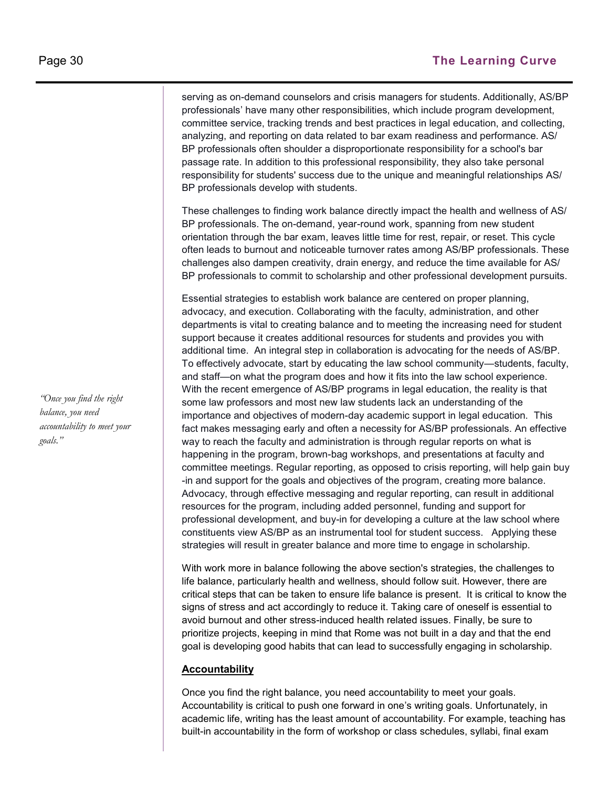serving as on-demand counselors and crisis managers for students. Additionally, AS/BP professionals' have many other responsibilities, which include program development, committee service, tracking trends and best practices in legal education, and collecting, analyzing, and reporting on data related to bar exam readiness and performance. AS/ BP professionals often shoulder a disproportionate responsibility for a school's bar passage rate. In addition to this professional responsibility, they also take personal responsibility for students' success due to the unique and meaningful relationships AS/ BP professionals develop with students.

These challenges to finding work balance directly impact the health and wellness of AS/ BP professionals. The on-demand, year-round work, spanning from new student orientation through the bar exam, leaves little time for rest, repair, or reset. This cycle often leads to burnout and noticeable turnover rates among AS/BP professionals. These challenges also dampen creativity, drain energy, and reduce the time available for AS/ BP professionals to commit to scholarship and other professional development pursuits.

Essential strategies to establish work balance are centered on proper planning, advocacy, and execution. Collaborating with the faculty, administration, and other departments is vital to creating balance and to meeting the increasing need for student support because it creates additional resources for students and provides you with additional time. An integral step in collaboration is advocating for the needs of AS/BP. To effectively advocate, start by educating the law school community—students, faculty, and staff—on what the program does and how it fits into the law school experience. With the recent emergence of AS/BP programs in legal education, the reality is that some law professors and most new law students lack an understanding of the importance and objectives of modern-day academic support in legal education. This fact makes messaging early and often a necessity for AS/BP professionals. An effective way to reach the faculty and administration is through regular reports on what is happening in the program, brown-bag workshops, and presentations at faculty and committee meetings. Regular reporting, as opposed to crisis reporting, will help gain buy -in and support for the goals and objectives of the program, creating more balance. Advocacy, through effective messaging and regular reporting, can result in additional resources for the program, including added personnel, funding and support for professional development, and buy-in for developing a culture at the law school where constituents view AS/BP as an instrumental tool for student success. Applying these strategies will result in greater balance and more time to engage in scholarship.

With work more in balance following the above section's strategies, the challenges to life balance, particularly health and wellness, should follow suit. However, there are critical steps that can be taken to ensure life balance is present. It is critical to know the signs of stress and act accordingly to reduce it. Taking care of oneself is essential to avoid burnout and other stress-induced health related issues. Finally, be sure to prioritize projects, keeping in mind that Rome was not built in a day and that the end goal is developing good habits that can lead to successfully engaging in scholarship.

#### **Accountability**

Once you find the right balance, you need accountability to meet your goals. Accountability is critical to push one forward in one's writing goals. Unfortunately, in academic life, writing has the least amount of accountability. For example, teaching has built-in accountability in the form of workshop or class schedules, syllabi, final exam

*"Once you find the right balance, you need accountability to meet your goals."*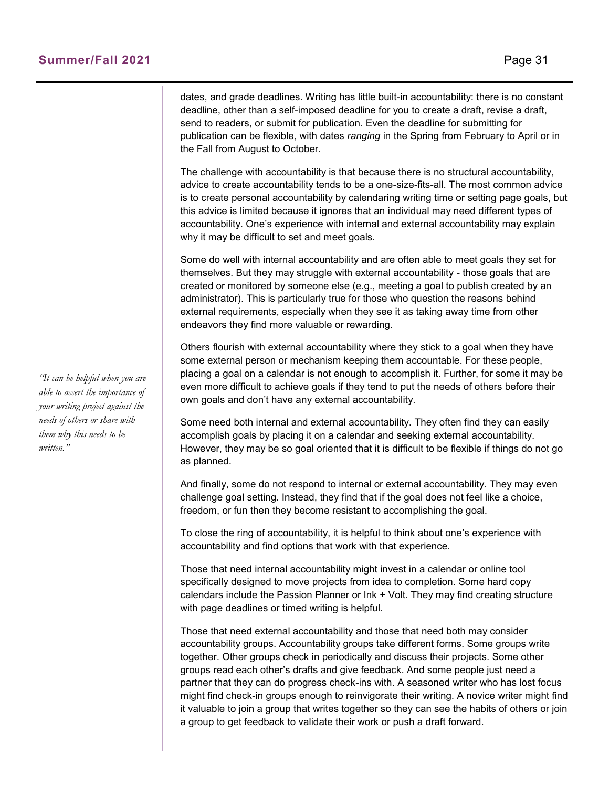dates, and grade deadlines. Writing has little built-in accountability: there is no constant deadline, other than a self-imposed deadline for you to create a draft, revise a draft, send to readers, or submit for publication. Even the deadline for submitting for publication can be flexible, with dates *ranging* in the Spring from February to April or in the Fall from August to October.

The challenge with accountability is that because there is no structural accountability, advice to create accountability tends to be a one-size-fits-all. The most common advice is to create personal accountability by calendaring writing time or setting page goals, but this advice is limited because it ignores that an individual may need different types of accountability. One's experience with internal and external accountability may explain why it may be difficult to set and meet goals.

Some do well with internal accountability and are often able to meet goals they set for themselves. But they may struggle with external accountability - those goals that are created or monitored by someone else (e.g., meeting a goal to publish created by an administrator). This is particularly true for those who question the reasons behind external requirements, especially when they see it as taking away time from other endeavors they find more valuable or rewarding.

Others flourish with external accountability where they stick to a goal when they have some external person or mechanism keeping them accountable. For these people, placing a goal on a calendar is not enough to accomplish it. Further, for some it may be even more difficult to achieve goals if they tend to put the needs of others before their own goals and don't have any external accountability.

Some need both internal and external accountability. They often find they can easily accomplish goals by placing it on a calendar and seeking external accountability. However, they may be so goal oriented that it is difficult to be flexible if things do not go as planned.

And finally, some do not respond to internal or external accountability. They may even challenge goal setting. Instead, they find that if the goal does not feel like a choice, freedom, or fun then they become resistant to accomplishing the goal.

To close the ring of accountability, it is helpful to think about one's experience with accountability and find options that work with that experience.

Those that need internal accountability might invest in a calendar or online tool specifically designed to move projects from idea to completion. Some hard copy calendars include the Passion Planner or Ink + Volt. They may find creating structure with page deadlines or timed writing is helpful.

Those that need external accountability and those that need both may consider accountability groups. Accountability groups take different forms. Some groups write together. Other groups check in periodically and discuss their projects. Some other groups read each other's drafts and give feedback. And some people just need a partner that they can do progress check-ins with. A seasoned writer who has lost focus might find check-in groups enough to reinvigorate their writing. A novice writer might find it valuable to join a group that writes together so they can see the habits of others or join a group to get feedback to validate their work or push a draft forward.

*"It can be helpful when you are able to assert the importance of your writing project against the needs of others or share with them why this needs to be written."*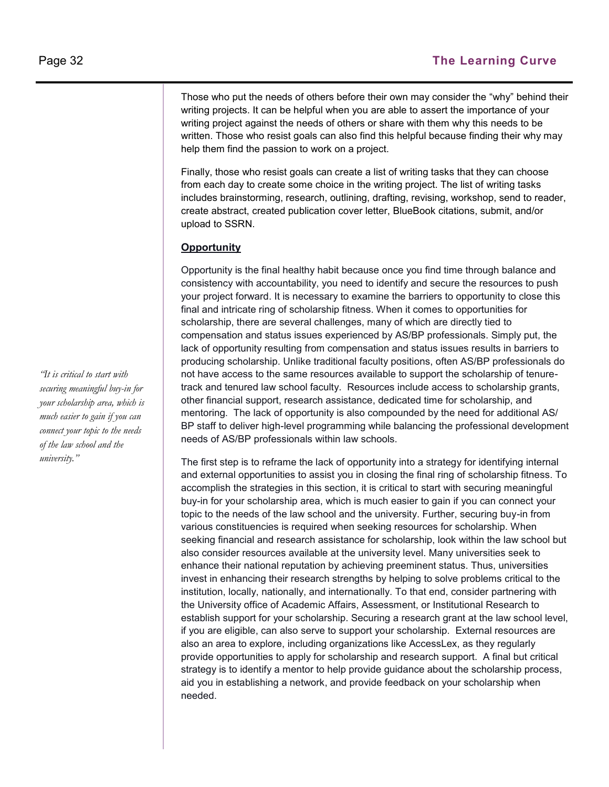Those who put the needs of others before their own may consider the "why" behind their writing projects. It can be helpful when you are able to assert the importance of your writing project against the needs of others or share with them why this needs to be written. Those who resist goals can also find this helpful because finding their why may help them find the passion to work on a project.

Finally, those who resist goals can create a list of writing tasks that they can choose from each day to create some choice in the writing project. The list of writing tasks includes brainstorming, research, outlining, drafting, revising, workshop, send to reader, create abstract, created publication cover letter, BlueBook citations, submit, and/or upload to SSRN.

#### **Opportunity**

Opportunity is the final healthy habit because once you find time through balance and consistency with accountability, you need to identify and secure the resources to push your project forward. It is necessary to examine the barriers to opportunity to close this final and intricate ring of scholarship fitness. When it comes to opportunities for scholarship, there are several challenges, many of which are directly tied to compensation and status issues experienced by AS/BP professionals. Simply put, the lack of opportunity resulting from compensation and status issues results in barriers to producing scholarship. Unlike traditional faculty positions, often AS/BP professionals do not have access to the same resources available to support the scholarship of tenuretrack and tenured law school faculty. Resources include access to scholarship grants, other financial support, research assistance, dedicated time for scholarship, and mentoring. The lack of opportunity is also compounded by the need for additional AS/ BP staff to deliver high-level programming while balancing the professional development needs of AS/BP professionals within law schools.

The first step is to reframe the lack of opportunity into a strategy for identifying internal and external opportunities to assist you in closing the final ring of scholarship fitness. To accomplish the strategies in this section, it is critical to start with securing meaningful buy-in for your scholarship area, which is much easier to gain if you can connect your topic to the needs of the law school and the university. Further, securing buy-in from various constituencies is required when seeking resources for scholarship. When seeking financial and research assistance for scholarship, look within the law school but also consider resources available at the university level. Many universities seek to enhance their national reputation by achieving preeminent status. Thus, universities invest in enhancing their research strengths by helping to solve problems critical to the institution, locally, nationally, and internationally. To that end, consider partnering with the University office of Academic Affairs, Assessment, or Institutional Research to establish support for your scholarship. Securing a research grant at the law school level, if you are eligible, can also serve to support your scholarship. External resources are also an area to explore, including organizations like AccessLex, as they regularly provide opportunities to apply for scholarship and research support. A final but critical strategy is to identify a mentor to help provide guidance about the scholarship process, aid you in establishing a network, and provide feedback on your scholarship when needed.

*"It is critical to start with securing meaningful buy-in for your scholarship area, which is much easier to gain if you can connect your topic to the needs of the law school and the university."*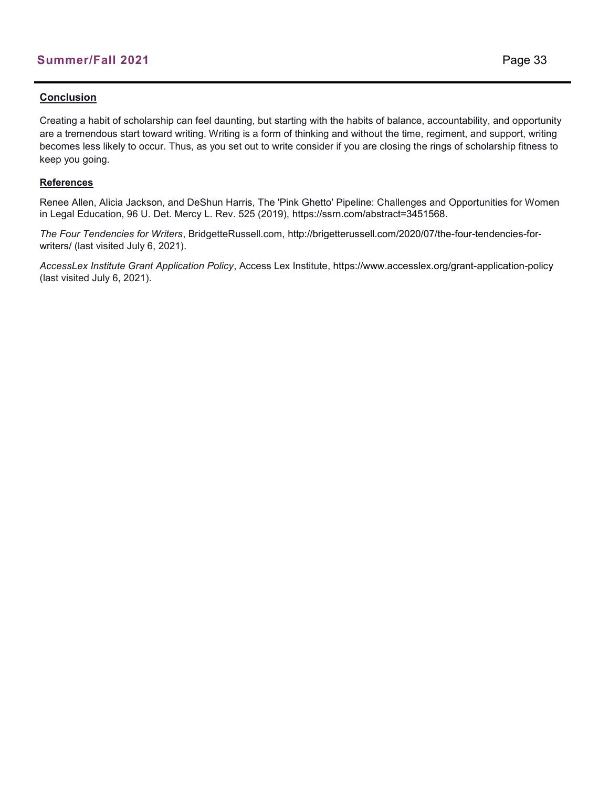#### **Conclusion**

Creating a habit of scholarship can feel daunting, but starting with the habits of balance, accountability, and opportunity are a tremendous start toward writing. Writing is a form of thinking and without the time, regiment, and support, writing becomes less likely to occur. Thus, as you set out to write consider if you are closing the rings of scholarship fitness to keep you going.

#### **References**

Renee Allen, Alicia Jackson, and DeShun Harris, The 'Pink Ghetto' Pipeline: Challenges and Opportunities for Women in Legal Education, 96 U. Det. Mercy L. Rev. 525 (2019), https://ssrn.com/abstract=3451568.

*The Four Tendencies for Writers*, BridgetteRussell.com, http://brigetterussell.com/2020/07/the-four-tendencies-forwriters/ (last visited July 6, 2021).

*AccessLex Institute Grant Application Policy*, Access Lex Institute, https://www.accesslex.org/grant-application-policy (last visited July 6, 2021).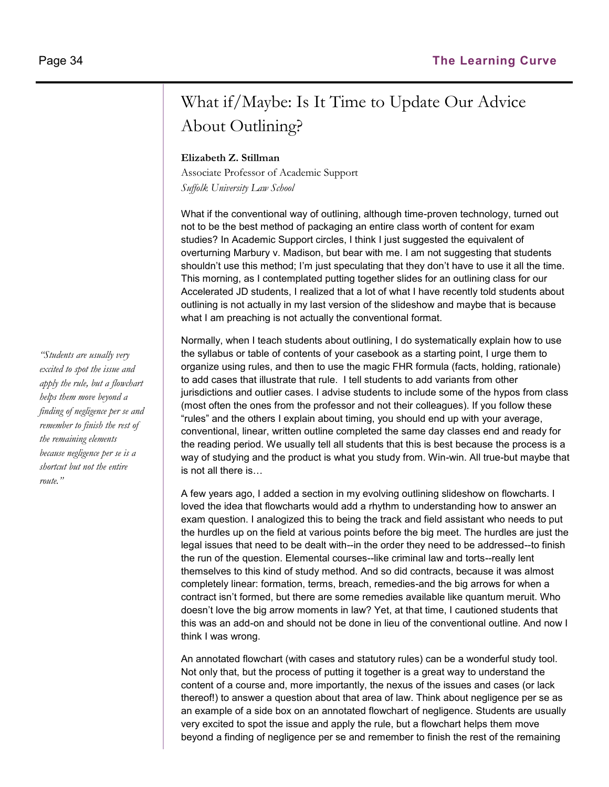## What if/Maybe: Is It Time to Update Our Advice About Outlining?

#### **Elizabeth Z. Stillman**

Associate Professor of Academic Support *Suffolk University Law School*

What if the conventional way of outlining, although time-proven technology, turned out not to be the best method of packaging an entire class worth of content for exam studies? In Academic Support circles, I think I just suggested the equivalent of overturning Marbury v. Madison, but bear with me. I am not suggesting that students shouldn't use this method; I'm just speculating that they don't have to use it all the time. This morning, as I contemplated putting together slides for an outlining class for our Accelerated JD students, I realized that a lot of what I have recently told students about outlining is not actually in my last version of the slideshow and maybe that is because what I am preaching is not actually the conventional format.

Normally, when I teach students about outlining, I do systematically explain how to use the syllabus or table of contents of your casebook as a starting point, I urge them to organize using rules, and then to use the magic FHR formula (facts, holding, rationale) to add cases that illustrate that rule. I tell students to add variants from other jurisdictions and outlier cases. I advise students to include some of the hypos from class (most often the ones from the professor and not their colleagues). If you follow these "rules" and the others I explain about timing, you should end up with your average, conventional, linear, written outline completed the same day classes end and ready for the reading period. We usually tell all students that this is best because the process is a way of studying and the product is what you study from. Win-win. All true-but maybe that is not all there is…

A few years ago, I added a section in my evolving outlining slideshow on flowcharts. I loved the idea that flowcharts would add a rhythm to understanding how to answer an exam question. I analogized this to being the track and field assistant who needs to put the hurdles up on the field at various points before the big meet. The hurdles are just the legal issues that need to be dealt with--in the order they need to be addressed--to finish the run of the question. Elemental courses--like criminal law and torts--really lent themselves to this kind of study method. And so did contracts, because it was almost completely linear: formation, terms, breach, remedies-and the big arrows for when a contract isn't formed, but there are some remedies available like quantum meruit. Who doesn't love the big arrow moments in law? Yet, at that time, I cautioned students that this was an add-on and should not be done in lieu of the conventional outline. And now I think I was wrong.

An annotated flowchart (with cases and statutory rules) can be a wonderful study tool. Not only that, but the process of putting it together is a great way to understand the content of a course and, more importantly, the nexus of the issues and cases (or lack thereof!) to answer a question about that area of law. Think about negligence per se as an example of a side box on an annotated flowchart of negligence. Students are usually very excited to spot the issue and apply the rule, but a flowchart helps them move beyond a finding of negligence per se and remember to finish the rest of the remaining

*"Students are usually very excited to spot the issue and apply the rule, but a flowchart helps them move beyond a finding of negligence per se and remember to finish the rest of the remaining elements because negligence per se is a shortcut but not the entire route."*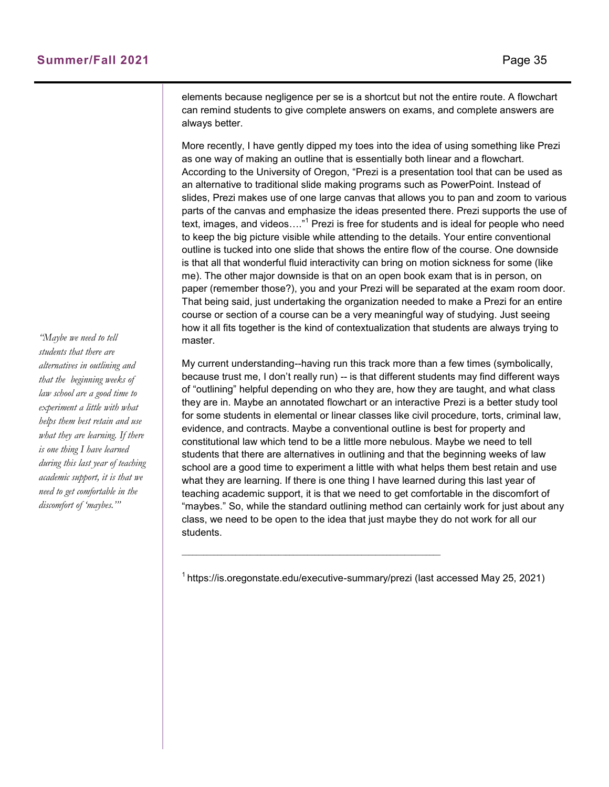elements because negligence per se is a shortcut but not the entire route. A flowchart can remind students to give complete answers on exams, and complete answers are always better.

More recently, I have gently dipped my toes into the idea of using something like Prezi as one way of making an outline that is essentially both linear and a flowchart. According to the University of Oregon, "Prezi is a presentation tool that can be used as an alternative to traditional slide making programs such as PowerPoint. Instead of slides, Prezi makes use of one large canvas that allows you to pan and zoom to various parts of the canvas and emphasize the ideas presented there. Prezi supports the use of text, images, and videos...."<sup>1</sup> Prezi is free for students and is ideal for people who need to keep the big picture visible while attending to the details. Your entire conventional outline is tucked into one slide that shows the entire flow of the course. One downside is that all that wonderful fluid interactivity can bring on motion sickness for some (like me). The other major downside is that on an open book exam that is in person, on paper (remember those?), you and your Prezi will be separated at the exam room door. That being said, just undertaking the organization needed to make a Prezi for an entire course or section of a course can be a very meaningful way of studying. Just seeing how it all fits together is the kind of contextualization that students are always trying to master.

My current understanding--having run this track more than a few times (symbolically, because trust me, I don't really run) -- is that different students may find different ways of "outlining" helpful depending on who they are, how they are taught, and what class they are in. Maybe an annotated flowchart or an interactive Prezi is a better study tool for some students in elemental or linear classes like civil procedure, torts, criminal law, evidence, and contracts. Maybe a conventional outline is best for property and constitutional law which tend to be a little more nebulous. Maybe we need to tell students that there are alternatives in outlining and that the beginning weeks of law school are a good time to experiment a little with what helps them best retain and use what they are learning. If there is one thing I have learned during this last year of teaching academic support, it is that we need to get comfortable in the discomfort of "maybes." So, while the standard outlining method can certainly work for just about any class, we need to be open to the idea that just maybe they do not work for all our students.

 $\_$  , and the set of the set of the set of the set of the set of the set of the set of the set of the set of the set of the set of the set of the set of the set of the set of the set of the set of the set of the set of th

*"Maybe we need to tell students that there are alternatives in outlining and that the beginning weeks of law school are a good time to experiment a little with what helps them best retain and use what they are learning. If there is one thing I have learned during this last year of teaching academic support, it is that we need to get comfortable in the discomfort of 'maybes.'"* 

 $1$ https://is.oregonstate.edu/executive-summary/prezi (last accessed May 25, 2021)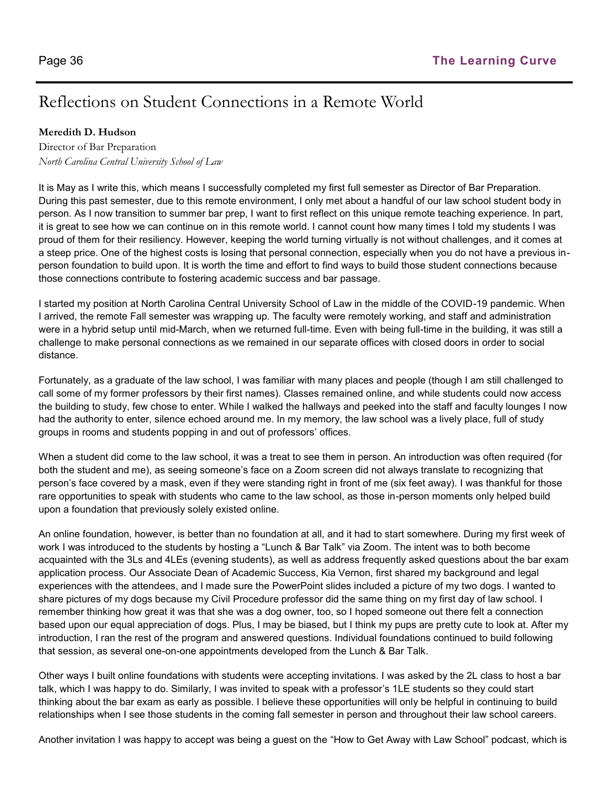## Reflections on Student Connections in a Remote World

#### **Meredith D. Hudson**

Director of Bar Preparation *North Carolina Central University School of Law*

It is May as I write this, which means I successfully completed my first full semester as Director of Bar Preparation. During this past semester, due to this remote environment, I only met about a handful of our law school student body in person. As I now transition to summer bar prep, I want to first reflect on this unique remote teaching experience. In part, it is great to see how we can continue on in this remote world. I cannot count how many times I told my students I was proud of them for their resiliency. However, keeping the world turning virtually is not without challenges, and it comes at a steep price. One of the highest costs is losing that personal connection, especially when you do not have a previous inperson foundation to build upon. It is worth the time and effort to find ways to build those student connections because those connections contribute to fostering academic success and bar passage.

I started my position at North Carolina Central University School of Law in the middle of the COVID-19 pandemic. When I arrived, the remote Fall semester was wrapping up. The faculty were remotely working, and staff and administration were in a hybrid setup until mid-March, when we returned full-time. Even with being full-time in the building, it was still a challenge to make personal connections as we remained in our separate offices with closed doors in order to social distance.

Fortunately, as a graduate of the law school, I was familiar with many places and people (though I am still challenged to call some of my former professors by their first names). Classes remained online, and while students could now access the building to study, few chose to enter. While I walked the hallways and peeked into the staff and faculty lounges I now had the authority to enter, silence echoed around me. In my memory, the law school was a lively place, full of study groups in rooms and students popping in and out of professors' offices.

When a student did come to the law school, it was a treat to see them in person. An introduction was often required (for both the student and me), as seeing someone's face on a Zoom screen did not always translate to recognizing that person's face covered by a mask, even if they were standing right in front of me (six feet away). I was thankful for those rare opportunities to speak with students who came to the law school, as those in-person moments only helped build upon a foundation that previously solely existed online.

An online foundation, however, is better than no foundation at all, and it had to start somewhere. During my first week of work I was introduced to the students by hosting a "Lunch & Bar Talk" via Zoom. The intent was to both become acquainted with the 3Ls and 4LEs (evening students), as well as address frequently asked questions about the bar exam application process. Our Associate Dean of Academic Success, Kia Vernon, first shared my background and legal experiences with the attendees, and I made sure the PowerPoint slides included a picture of my two dogs. I wanted to share pictures of my dogs because my Civil Procedure professor did the same thing on my first day of law school. I remember thinking how great it was that she was a dog owner, too, so I hoped someone out there felt a connection based upon our equal appreciation of dogs. Plus, I may be biased, but I think my pups are pretty cute to look at. After my introduction, I ran the rest of the program and answered questions. Individual foundations continued to build following that session, as several one-on-one appointments developed from the Lunch & Bar Talk.

Other ways I built online foundations with students were accepting invitations. I was asked by the 2L class to host a bar talk, which I was happy to do. Similarly, I was invited to speak with a professor's 1LE students so they could start thinking about the bar exam as early as possible. I believe these opportunities will only be helpful in continuing to build relationships when I see those students in the coming fall semester in person and throughout their law school careers.

Another invitation I was happy to accept was being a guest on the "How to Get Away with Law School" podcast, which is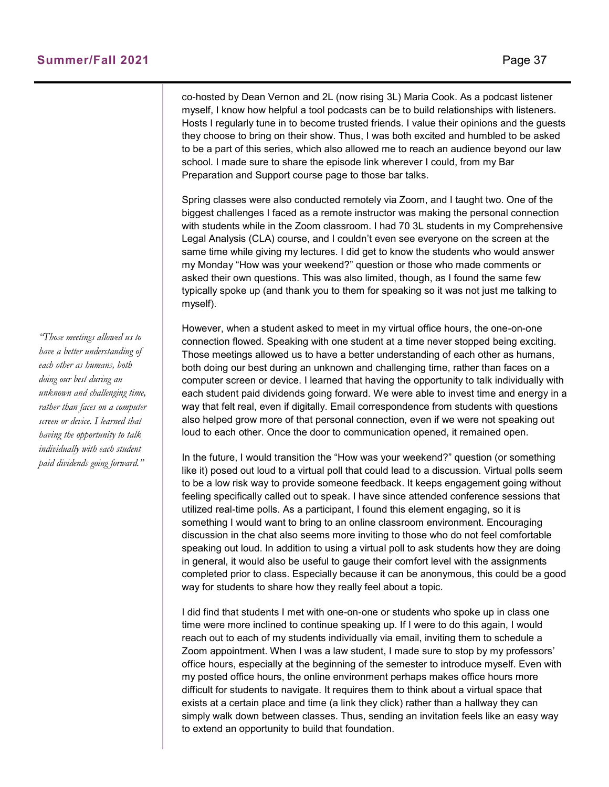co-hosted by Dean Vernon and 2L (now rising 3L) Maria Cook. As a podcast listener myself, I know how helpful a tool podcasts can be to build relationships with listeners. Hosts I regularly tune in to become trusted friends. I value their opinions and the guests they choose to bring on their show. Thus, I was both excited and humbled to be asked to be a part of this series, which also allowed me to reach an audience beyond our law school. I made sure to share the episode link wherever I could, from my Bar Preparation and Support course page to those bar talks.

Spring classes were also conducted remotely via Zoom, and I taught two. One of the biggest challenges I faced as a remote instructor was making the personal connection with students while in the Zoom classroom. I had 70 3L students in my Comprehensive Legal Analysis (CLA) course, and I couldn't even see everyone on the screen at the same time while giving my lectures. I did get to know the students who would answer my Monday "How was your weekend?" question or those who made comments or asked their own questions. This was also limited, though, as I found the same few typically spoke up (and thank you to them for speaking so it was not just me talking to myself).

However, when a student asked to meet in my virtual office hours, the one-on-one connection flowed. Speaking with one student at a time never stopped being exciting. Those meetings allowed us to have a better understanding of each other as humans, both doing our best during an unknown and challenging time, rather than faces on a computer screen or device. I learned that having the opportunity to talk individually with each student paid dividends going forward. We were able to invest time and energy in a way that felt real, even if digitally. Email correspondence from students with questions also helped grow more of that personal connection, even if we were not speaking out loud to each other. Once the door to communication opened, it remained open.

In the future, I would transition the "How was your weekend?" question (or something like it) posed out loud to a virtual poll that could lead to a discussion. Virtual polls seem to be a low risk way to provide someone feedback. It keeps engagement going without feeling specifically called out to speak. I have since attended conference sessions that utilized real-time polls. As a participant, I found this element engaging, so it is something I would want to bring to an online classroom environment. Encouraging discussion in the chat also seems more inviting to those who do not feel comfortable speaking out loud. In addition to using a virtual poll to ask students how they are doing in general, it would also be useful to gauge their comfort level with the assignments completed prior to class. Especially because it can be anonymous, this could be a good way for students to share how they really feel about a topic.

I did find that students I met with one-on-one or students who spoke up in class one time were more inclined to continue speaking up. If I were to do this again, I would reach out to each of my students individually via email, inviting them to schedule a Zoom appointment. When I was a law student, I made sure to stop by my professors' office hours, especially at the beginning of the semester to introduce myself. Even with my posted office hours, the online environment perhaps makes office hours more difficult for students to navigate. It requires them to think about a virtual space that exists at a certain place and time (a link they click) rather than a hallway they can simply walk down between classes. Thus, sending an invitation feels like an easy way to extend an opportunity to build that foundation.

*"Those meetings allowed us to have a better understanding of each other as humans, both doing our best during an unknown and challenging time, rather than faces on a computer screen or device. I learned that having the opportunity to talk individually with each student paid dividends going forward."*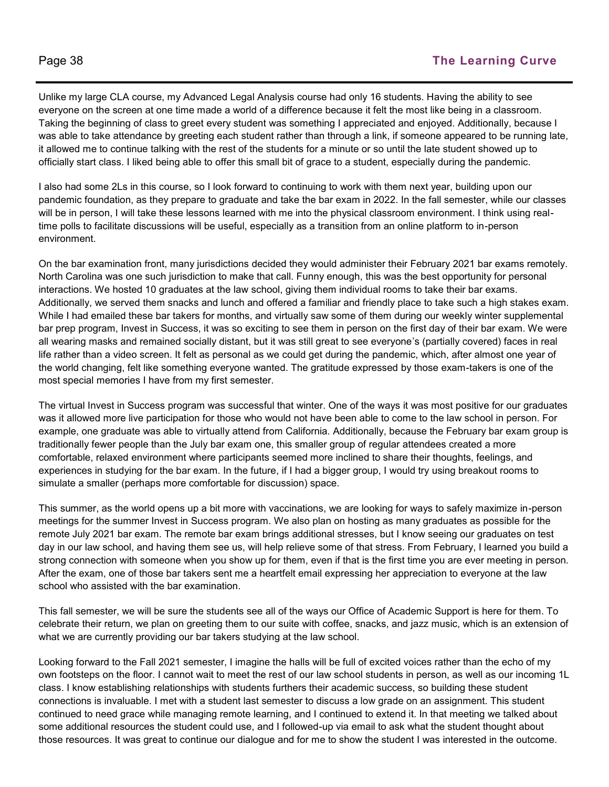Unlike my large CLA course, my Advanced Legal Analysis course had only 16 students. Having the ability to see everyone on the screen at one time made a world of a difference because it felt the most like being in a classroom. Taking the beginning of class to greet every student was something I appreciated and enjoyed. Additionally, because I was able to take attendance by greeting each student rather than through a link, if someone appeared to be running late, it allowed me to continue talking with the rest of the students for a minute or so until the late student showed up to officially start class. I liked being able to offer this small bit of grace to a student, especially during the pandemic.

I also had some 2Ls in this course, so I look forward to continuing to work with them next year, building upon our pandemic foundation, as they prepare to graduate and take the bar exam in 2022. In the fall semester, while our classes will be in person, I will take these lessons learned with me into the physical classroom environment. I think using realtime polls to facilitate discussions will be useful, especially as a transition from an online platform to in-person environment.

On the bar examination front, many jurisdictions decided they would administer their February 2021 bar exams remotely. North Carolina was one such jurisdiction to make that call. Funny enough, this was the best opportunity for personal interactions. We hosted 10 graduates at the law school, giving them individual rooms to take their bar exams. Additionally, we served them snacks and lunch and offered a familiar and friendly place to take such a high stakes exam. While I had emailed these bar takers for months, and virtually saw some of them during our weekly winter supplemental bar prep program, Invest in Success, it was so exciting to see them in person on the first day of their bar exam. We were all wearing masks and remained socially distant, but it was still great to see everyone's (partially covered) faces in real life rather than a video screen. It felt as personal as we could get during the pandemic, which, after almost one year of the world changing, felt like something everyone wanted. The gratitude expressed by those exam-takers is one of the most special memories I have from my first semester.

The virtual Invest in Success program was successful that winter. One of the ways it was most positive for our graduates was it allowed more live participation for those who would not have been able to come to the law school in person. For example, one graduate was able to virtually attend from California. Additionally, because the February bar exam group is traditionally fewer people than the July bar exam one, this smaller group of regular attendees created a more comfortable, relaxed environment where participants seemed more inclined to share their thoughts, feelings, and experiences in studying for the bar exam. In the future, if I had a bigger group, I would try using breakout rooms to simulate a smaller (perhaps more comfortable for discussion) space.

This summer, as the world opens up a bit more with vaccinations, we are looking for ways to safely maximize in-person meetings for the summer Invest in Success program. We also plan on hosting as many graduates as possible for the remote July 2021 bar exam. The remote bar exam brings additional stresses, but I know seeing our graduates on test day in our law school, and having them see us, will help relieve some of that stress. From February, I learned you build a strong connection with someone when you show up for them, even if that is the first time you are ever meeting in person. After the exam, one of those bar takers sent me a heartfelt email expressing her appreciation to everyone at the law school who assisted with the bar examination.

This fall semester, we will be sure the students see all of the ways our Office of Academic Support is here for them. To celebrate their return, we plan on greeting them to our suite with coffee, snacks, and jazz music, which is an extension of what we are currently providing our bar takers studying at the law school.

Looking forward to the Fall 2021 semester, I imagine the halls will be full of excited voices rather than the echo of my own footsteps on the floor. I cannot wait to meet the rest of our law school students in person, as well as our incoming 1L class. I know establishing relationships with students furthers their academic success, so building these student connections is invaluable. I met with a student last semester to discuss a low grade on an assignment. This student continued to need grace while managing remote learning, and I continued to extend it. In that meeting we talked about some additional resources the student could use, and I followed-up via email to ask what the student thought about those resources. It was great to continue our dialogue and for me to show the student I was interested in the outcome.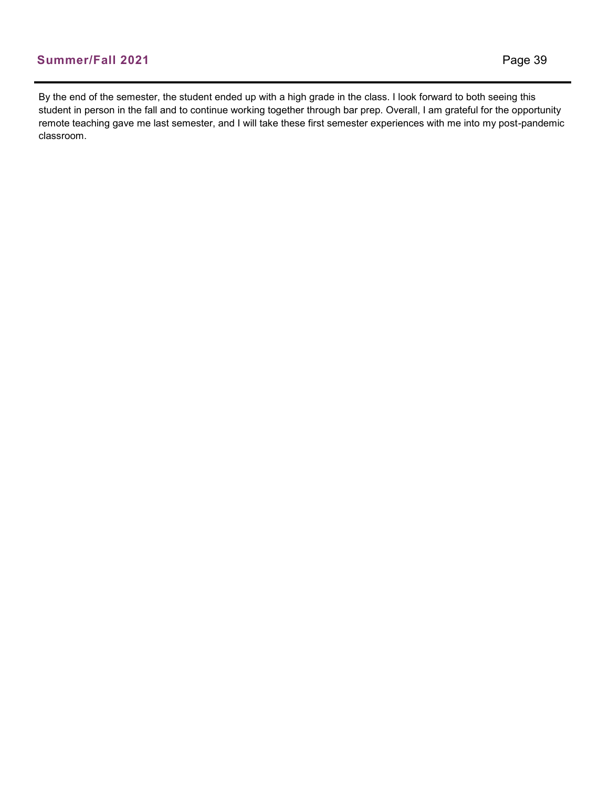By the end of the semester, the student ended up with a high grade in the class. I look forward to both seeing this student in person in the fall and to continue working together through bar prep. Overall, I am grateful for the opportunity remote teaching gave me last semester, and I will take these first semester experiences with me into my post-pandemic classroom.